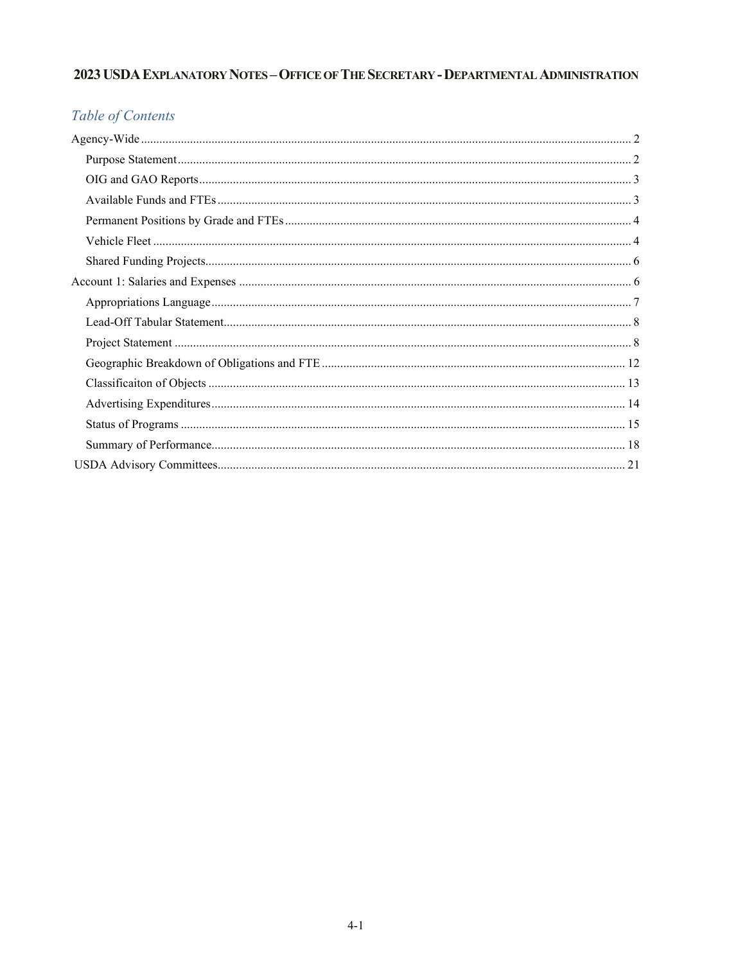# 2023 USDA EXPLANATORY NOTES - OFFICE OF THE SECRETARY - DEPARTMENTAL ADMINISTRATION

# Table of Contents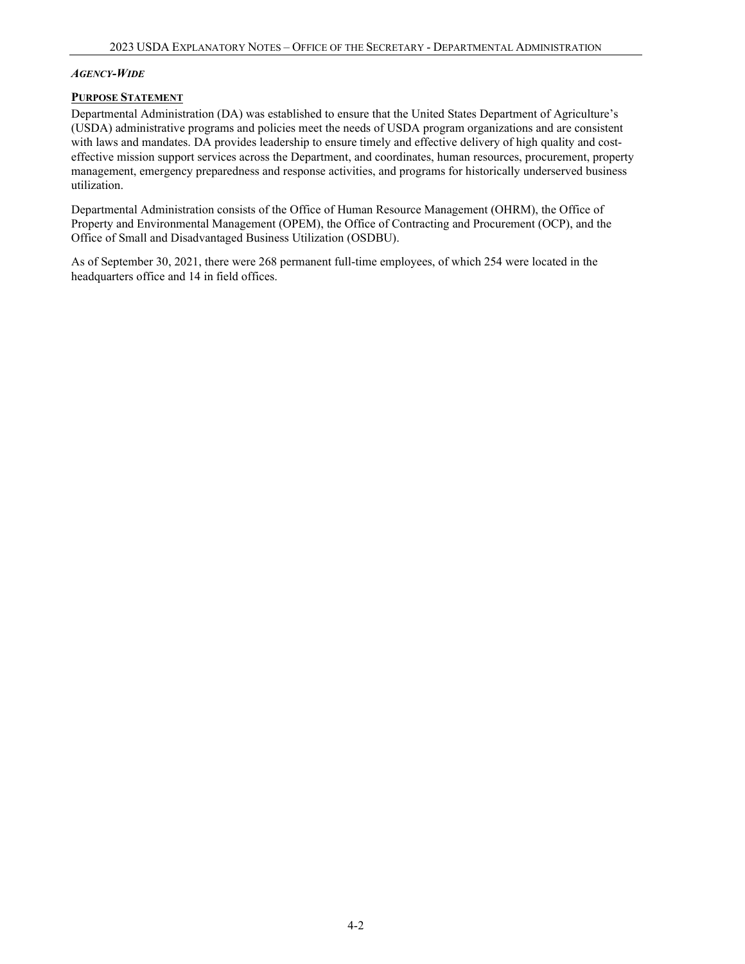#### <span id="page-1-0"></span>*AGENCY-WIDE*

#### <span id="page-1-1"></span>**PURPOSE STATEMENT**

Departmental Administration (DA) was established to ensure that the United States Department of Agriculture's (USDA) administrative programs and policies meet the needs of USDA program organizations and are consistent with laws and mandates. DA provides leadership to ensure timely and effective delivery of high quality and costeffective mission support services across the Department, and coordinates, human resources, procurement, property management, emergency preparedness and response activities, and programs for historically underserved business utilization.

Departmental Administration consists of the Office of Human Resource Management (OHRM), the Office of Property and Environmental Management (OPEM), the Office of Contracting and Procurement (OCP), and the Office of Small and Disadvantaged Business Utilization (OSDBU).

As of September 30, 2021, there were 268 permanent full-time employees, of which 254 were located in the headquarters office and 14 in field offices.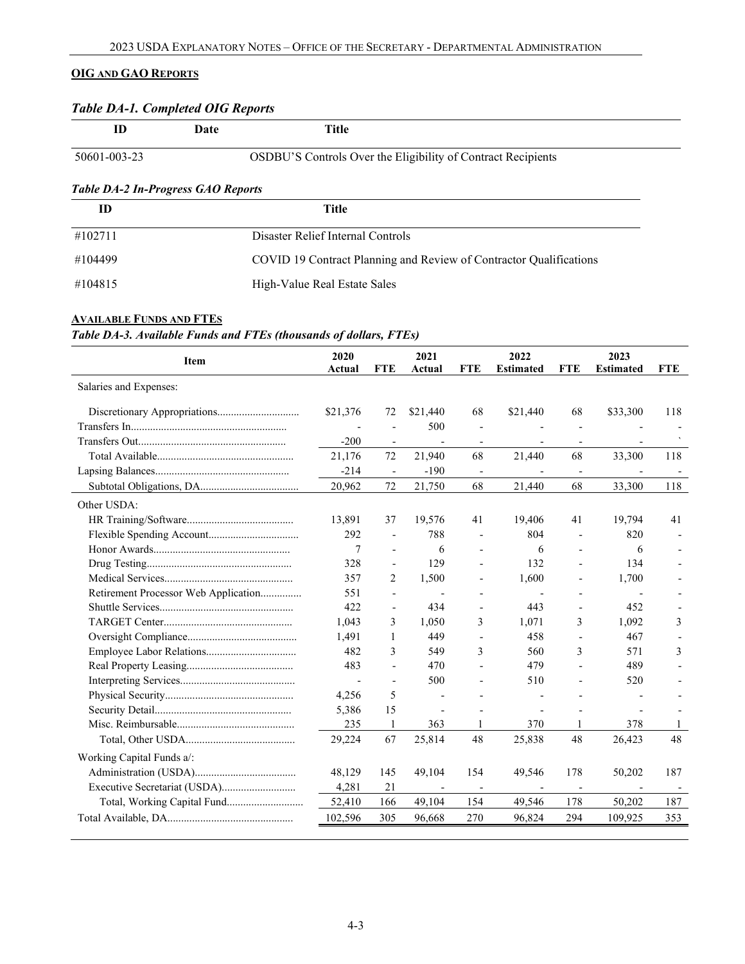# <span id="page-2-0"></span>**OIG AND GAO REPORTS**

# *Table DA-1. Completed OIG Reports*

| ID                                        | Date | Title |                                                              |
|-------------------------------------------|------|-------|--------------------------------------------------------------|
| 50601-003-23                              |      |       | OSDBU'S Controls Over the Eligibility of Contract Recipients |
| <b>Table DA-2 In-Progress GAO Reports</b> |      |       |                                                              |

| ID      | Title                                                              |
|---------|--------------------------------------------------------------------|
| #102711 | Disaster Relief Internal Controls                                  |
| #104499 | COVID 19 Contract Planning and Review of Contractor Qualifications |
| #104815 | High-Value Real Estate Sales                                       |

# <span id="page-2-1"></span>**AVAILABLE FUNDS AND FTES**

*Table DA-3. Available Funds and FTEs (thousands of dollars, FTEs)* 

| Item                                 | 2020<br>Actual | <b>FTE</b>               | 2021<br>Actual | <b>FTE</b>               | 2022<br><b>Estimated</b> | <b>FTE</b>               | 2023<br><b>Estimated</b> | <b>FTE</b> |
|--------------------------------------|----------------|--------------------------|----------------|--------------------------|--------------------------|--------------------------|--------------------------|------------|
| Salaries and Expenses:               |                |                          |                |                          |                          |                          |                          |            |
|                                      | \$21,376       | 72                       | \$21,440       | 68                       | \$21,440                 | 68                       | \$33,300                 | 118        |
|                                      |                | $\overline{a}$           | 500            | $\overline{\phantom{a}}$ | $\overline{a}$           | $\overline{\phantom{a}}$ |                          |            |
|                                      | $-200$         | $\overline{\phantom{a}}$ |                |                          |                          |                          |                          |            |
|                                      | 21,176         | 72                       | 21,940         | 68                       | 21,440                   | 68                       | 33,300                   | 118        |
|                                      | $-214$         | $\overline{\phantom{a}}$ | $-190$         | $\overline{\phantom{a}}$ | $\overline{\phantom{0}}$ | $\overline{\phantom{a}}$ |                          |            |
|                                      | 20,962         | 72                       | 21,750         | 68                       | 21,440                   | 68                       | 33,300                   | 118        |
| Other USDA:                          |                |                          |                |                          |                          |                          |                          |            |
|                                      | 13,891         | 37                       | 19,576         | 41                       | 19,406                   | 41                       | 19,794                   | 41         |
|                                      | 292            | $\overline{\phantom{a}}$ | 788            |                          | 804                      |                          | 820                      |            |
|                                      | 7              | $\overline{a}$           | 6              |                          | 6                        |                          | 6                        |            |
|                                      | 328            | $\overline{a}$           | 129            |                          | 132                      |                          | 134                      |            |
|                                      | 357            | 2                        | 1,500          | $\overline{a}$           | 1,600                    | $\overline{a}$           | 1,700                    |            |
| Retirement Processor Web Application | 551            | $\overline{a}$           | $\overline{a}$ |                          | $\overline{a}$           |                          | Ĭ.                       |            |
|                                      | 422            | $\overline{\phantom{a}}$ | 434            | $\blacksquare$           | 443                      | $\overline{\phantom{0}}$ | 452                      |            |
|                                      | 1.043          | 3                        | 1.050          | 3                        | 1.071                    | 3                        | 1.092                    | 3          |
|                                      | 1.491          | 1                        | 449            |                          | 458                      |                          | 467                      |            |
|                                      | 482            | 3                        | 549            | 3                        | 560                      | 3                        | 571                      | 3          |
|                                      | 483            | $\overline{a}$           | 470            |                          | 479                      |                          | 489                      |            |
|                                      |                | $\overline{a}$           | 500            |                          | 510                      |                          | 520                      |            |
|                                      | 4,256          | 5                        |                |                          | $\overline{a}$           |                          |                          |            |
|                                      | 5,386          | 15                       |                |                          | $\overline{a}$           |                          |                          |            |
|                                      | 235            | 1                        | 363            | 1                        | 370                      |                          | 378                      | -1         |
|                                      | 29,224         | 67                       | 25,814         | 48                       | 25,838                   | 48                       | 26,423                   | 48         |
| Working Capital Funds a/:            |                |                          |                |                          |                          |                          |                          |            |
|                                      | 48,129         | 145                      | 49,104         | 154                      | 49,546                   | 178                      | 50,202                   | 187        |
|                                      | 4,281          | 21                       |                |                          |                          |                          |                          |            |
| Total, Working Capital Fund          | 52,410         | 166                      | 49,104         | 154                      | 49,546                   | 178                      | 50,202                   | 187        |
|                                      | 102,596        | 305                      | 96,668         | 270                      | 96,824                   | 294                      | 109,925                  | 353        |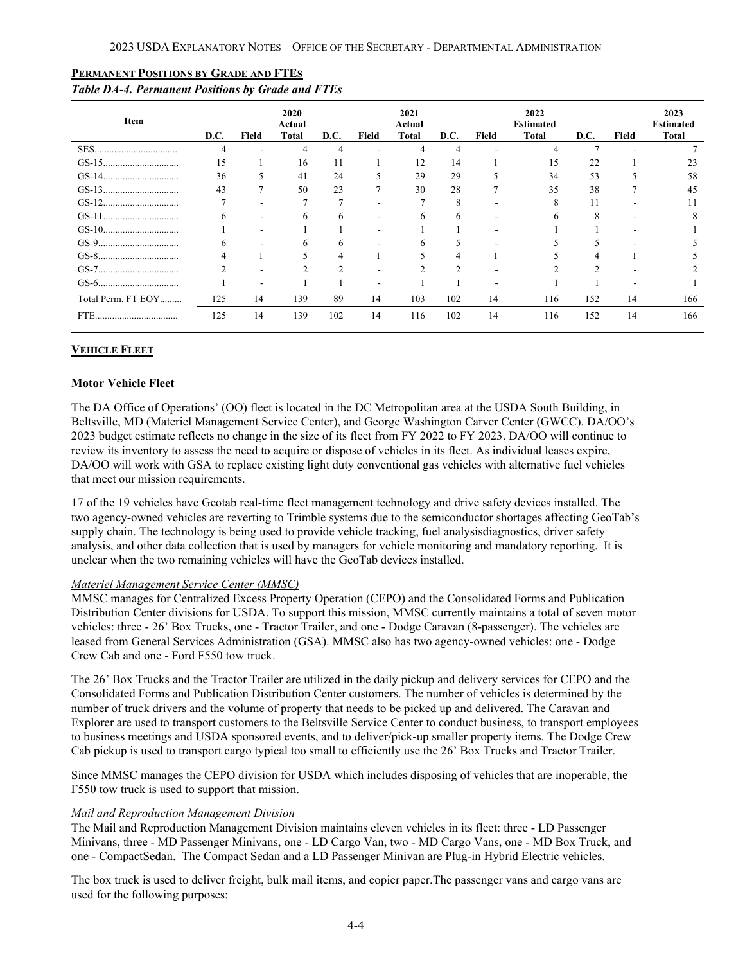#### <span id="page-3-0"></span>**PERMANENT POSITIONS BY GRADE AND FTES**

#### *Table DA-4. Permanent Positions by Grade and FTEs*

| Item               | D.C. | Field | 2020<br>Actual<br><b>Total</b> | D.C.         | Field | 2021<br>Actual<br>Total | D.C. | Field | 2022<br><b>Estimated</b><br><b>Total</b> | D.C.      | Field | 2023<br><b>Estimated</b><br><b>Total</b> |
|--------------------|------|-------|--------------------------------|--------------|-------|-------------------------|------|-------|------------------------------------------|-----------|-------|------------------------------------------|
|                    |      |       |                                |              |       |                         |      |       |                                          |           |       |                                          |
|                    | 15   |       | 16                             | 11           |       | 12                      | 14   |       | 15                                       | 22        |       | 23                                       |
|                    | 36   |       | 41                             | 24           |       | 29                      | 29   |       | 34                                       | 53        |       | 58                                       |
|                    | 43   |       | 50                             | 23           |       | 30                      | 28   |       | 35                                       | 38        |       | 45                                       |
|                    |      |       |                                |              |       |                         | Δ    |       |                                          |           |       |                                          |
|                    | h.   | -     | 6                              | <sub>6</sub> | ۰     | 6                       | 6    |       | n                                        | $\lambda$ |       |                                          |
|                    |      |       |                                |              |       |                         |      |       |                                          |           |       |                                          |
|                    |      |       |                                |              |       | h                       |      |       |                                          |           |       |                                          |
|                    |      |       |                                |              |       |                         |      |       |                                          |           |       |                                          |
|                    |      |       |                                |              |       |                         |      |       |                                          |           |       |                                          |
|                    |      | -     |                                |              | -     |                         |      |       |                                          |           |       |                                          |
| Total Perm. FT EOY | 125  | 14    | 139                            | 89           | 14    | 103                     | 102  | 14    | 116                                      | 152       | 14    | 166                                      |
| FTE.               | 125  | 14    | 139                            | 102          | 14    | 116                     | 102  | 14    | 116                                      | 152       | 14    | 166                                      |

### <span id="page-3-1"></span>**VEHICLE FLEET**

#### **Motor Vehicle Fleet**

The DA Office of Operations' (OO) fleet is located in the DC Metropolitan area at the USDA South Building, in Beltsville, MD (Materiel Management Service Center), and George Washington Carver Center (GWCC). DA/OO's 2023 budget estimate reflects no change in the size of its fleet from FY 2022 to FY 2023. DA/OO will continue to review its inventory to assess the need to acquire or dispose of vehicles in its fleet. As individual leases expire, DA/OO will work with GSA to replace existing light duty conventional gas vehicles with alternative fuel vehicles that meet our mission requirements.

17 of the 19 vehicles have Geotab real-time fleet management technology and drive safety devices installed. The two agency-owned vehicles are reverting to Trimble systems due to the semiconductor shortages affecting GeoTab's supply chain. The technology is being used to provide vehicle tracking, fuel analysisdiagnostics, driver safety analysis, and other data collection that is used by managers for vehicle monitoring and mandatory reporting. It is unclear when the two remaining vehicles will have the GeoTab devices installed.

#### *Materiel Management Service Center (MMSC)*

MMSC manages for Centralized Excess Property Operation (CEPO) and the Consolidated Forms and Publication Distribution Center divisions for USDA. To support this mission, MMSC currently maintains a total of seven motor vehicles: three - 26' Box Trucks, one - Tractor Trailer, and one - Dodge Caravan (8-passenger). The vehicles are leased from General Services Administration (GSA). MMSC also has two agency-owned vehicles: one - Dodge Crew Cab and one - Ford F550 tow truck.

The 26' Box Trucks and the Tractor Trailer are utilized in the daily pickup and delivery services for CEPO and the Consolidated Forms and Publication Distribution Center customers. The number of vehicles is determined by the number of truck drivers and the volume of property that needs to be picked up and delivered. The Caravan and Explorer are used to transport customers to the Beltsville Service Center to conduct business, to transport employees to business meetings and USDA sponsored events, and to deliver/pick-up smaller property items. The Dodge Crew Cab pickup is used to transport cargo typical too small to efficiently use the 26' Box Trucks and Tractor Trailer.

Since MMSC manages the CEPO division for USDA which includes disposing of vehicles that are inoperable, the F550 tow truck is used to support that mission.

#### *Mail and Reproduction Management Division*

The Mail and Reproduction Management Division maintains eleven vehicles in its fleet: three - LD Passenger Minivans, three - MD Passenger Minivans, one - LD Cargo Van, two - MD Cargo Vans, one - MD Box Truck, and one - CompactSedan. The Compact Sedan and a LD Passenger Minivan are Plug-in Hybrid Electric vehicles.

The box truck is used to deliver freight, bulk mail items, and copier paper.The passenger vans and cargo vans are used for the following purposes: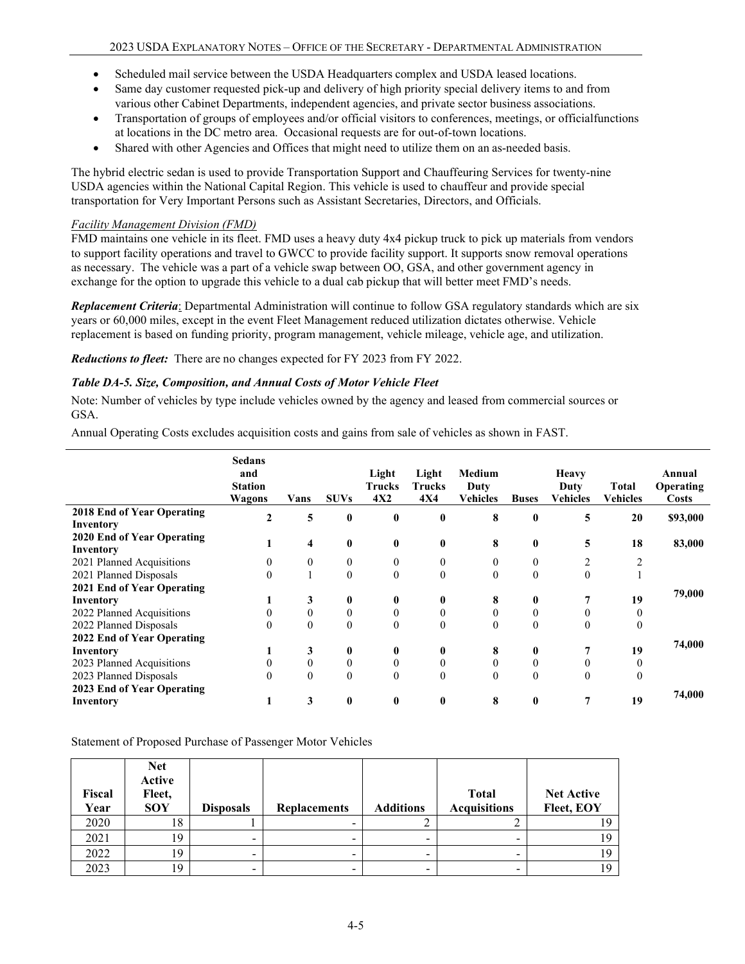- Scheduled mail service between the USDA Headquarters complex and USDA leased locations.
- Same day customer requested pick-up and delivery of high priority special delivery items to and from various other Cabinet Departments, independent agencies, and private sector business associations.
- Transportation of groups of employees and/or official visitors to conferences, meetings, or officialfunctions at locations in the DC metro area. Occasional requests are for out-of-town locations.
- Shared with other Agencies and Offices that might need to utilize them on an as-needed basis.

The hybrid electric sedan is used to provide Transportation Support and Chauffeuring Services for twenty-nine USDA agencies within the National Capital Region. This vehicle is used to chauffeur and provide special transportation for Very Important Persons such as Assistant Secretaries, Directors, and Officials.

## *Facility Management Division (FMD)*

FMD maintains one vehicle in its fleet. FMD uses a heavy duty 4x4 pickup truck to pick up materials from vendors to support facility operations and travel to GWCC to provide facility support. It supports snow removal operations as necessary. The vehicle was a part of a vehicle swap between OO, GSA, and other government agency in exchange for the option to upgrade this vehicle to a dual cab pickup that will better meet FMD's needs.

*Replacement Criteria*: Departmental Administration will continue to follow GSA regulatory standards which are six years or 60,000 miles, except in the event Fleet Management reduced utilization dictates otherwise. Vehicle replacement is based on funding priority, program management, vehicle mileage, vehicle age, and utilization.

*Reductions to fleet:* There are no changes expected for FY 2023 from FY 2022.

## *Table DA-5. Size, Composition, and Annual Costs of Motor Vehicle Fleet*

Note: Number of vehicles by type include vehicles owned by the agency and leased from commercial sources or GSA.

Annual Operating Costs excludes acquisition costs and gains from sale of vehicles as shown in FAST.

|                                         | <b>Sedans</b><br>and<br><b>Station</b><br>Wagons | Vans     | <b>SUVs</b>    | Light<br><b>Trucks</b><br>4X2 | Light<br><b>Trucks</b><br><b>4X4</b> | Medium<br>Duty<br><b>Vehicles</b> | <b>Buses</b> | Heavy<br>Duty<br><b>Vehicles</b> | <b>Total</b><br><b>Vehicles</b> | Annual<br><b>Operating</b><br><b>Costs</b> |
|-----------------------------------------|--------------------------------------------------|----------|----------------|-------------------------------|--------------------------------------|-----------------------------------|--------------|----------------------------------|---------------------------------|--------------------------------------------|
| 2018 End of Year Operating              |                                                  | 5        | $\mathbf{0}$   | $\bf{0}$                      | 0                                    | 8                                 | $\bf{0}$     | 5                                | 20                              | \$93,000                                   |
| Inventory                               |                                                  |          |                |                               |                                      |                                   |              |                                  |                                 |                                            |
| 2020 End of Year Operating<br>Inventory |                                                  | 4        | $\mathbf{0}$   | $\bf{0}$                      | 0                                    | 8                                 | $\bf{0}$     | 5                                | 18                              | 83,000                                     |
| 2021 Planned Acquisitions               |                                                  | 0        | $\overline{0}$ | $\mathbf{0}$                  | $\Omega$                             | $\Omega$                          | $\theta$     | 2                                |                                 |                                            |
| 2021 Planned Disposals                  |                                                  |          | $\Omega$       | $\theta$                      | $\theta$                             | $\theta$                          | $\theta$     | $\theta$                         |                                 |                                            |
| 2021 End of Year Operating              |                                                  |          |                |                               |                                      |                                   |              |                                  |                                 | 79,000                                     |
| Inventory                               |                                                  | 3        | $\bf{0}$       | $\bf{0}$                      |                                      | 8                                 | $\bf{0}$     |                                  | 19                              |                                            |
| 2022 Planned Acquisitions               |                                                  | $\theta$ | $\mathbf{0}$   | $\theta$                      |                                      |                                   | $\mathbf{0}$ |                                  | 0                               |                                            |
| 2022 Planned Disposals                  |                                                  | $\theta$ | $\theta$       | $\theta$                      | $\Omega$                             | $\Omega$                          | $\Omega$     | $\theta$                         | $\theta$                        |                                            |
| 2022 End of Year Operating              |                                                  |          |                |                               |                                      |                                   |              |                                  |                                 |                                            |
| Inventory                               |                                                  | 3        | $\bf{0}$       | $\bf{0}$                      | 0                                    | 8                                 | $\bf{0}$     |                                  | 19                              | 74,000                                     |
| 2023 Planned Acquisitions               |                                                  | 0        | $\theta$       | $\Omega$                      |                                      |                                   | $\theta$     |                                  | 0                               |                                            |
| 2023 Planned Disposals                  |                                                  | $\theta$ | $\theta$       | $\theta$                      | $\Omega$                             | $\theta$                          | $\theta$     | $\theta$                         | $\theta$                        |                                            |
| 2023 End of Year Operating              |                                                  |          |                |                               |                                      |                                   |              |                                  |                                 | 74,000                                     |
| Inventory                               |                                                  | 3        | $\mathbf{0}$   | 0                             | 0                                    | 8                                 | 0            |                                  | 19                              |                                            |

Statement of Proposed Purchase of Passenger Motor Vehicles

| Fiscal<br>Year | <b>Net</b><br>Active<br>Fleet,<br><b>SOY</b> | <b>Disposals</b>         | <b>Replacements</b> | <b>Additions</b> | <b>Total</b><br><b>Acquisitions</b> | <b>Net Active</b><br>Fleet, EOY |
|----------------|----------------------------------------------|--------------------------|---------------------|------------------|-------------------------------------|---------------------------------|
| 2020           | 18                                           |                          |                     |                  |                                     |                                 |
| 2021           | 19                                           | $\overline{\phantom{0}}$ |                     |                  |                                     |                                 |
| 2022           | 19                                           | -                        |                     |                  |                                     |                                 |
| 2023           | 19                                           |                          |                     |                  |                                     |                                 |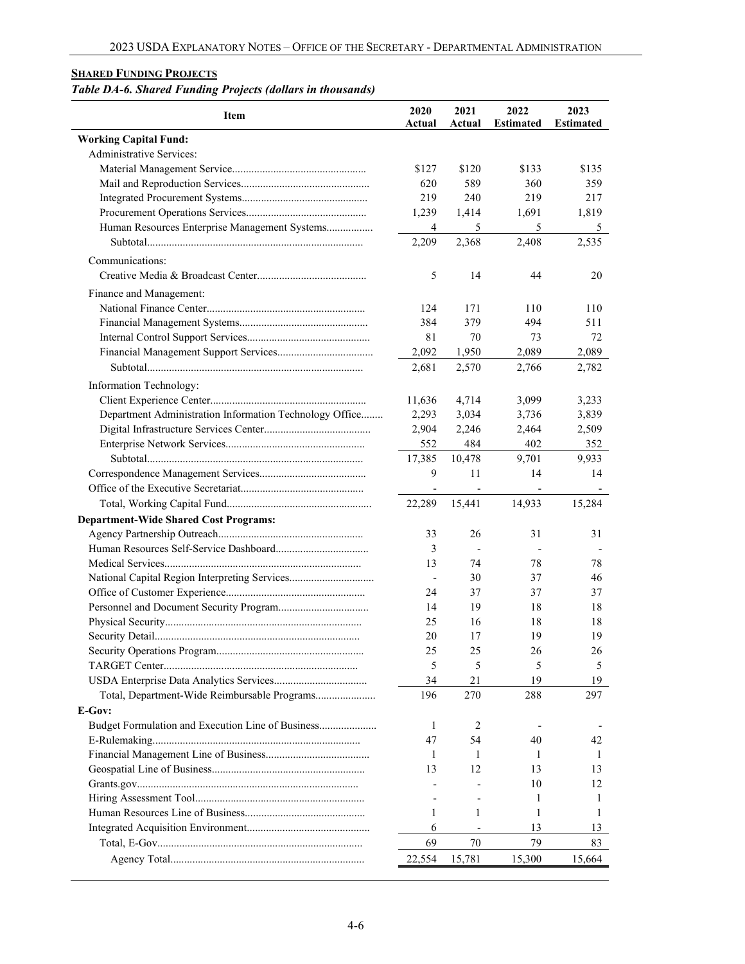## <span id="page-5-0"></span>**SHARED FUNDING PROJECTS**

# *Table DA-6. Shared Funding Projects (dollars in thousands)*

| <b>Item</b>                                             | 2020<br>Actual           | 2021<br>Actual           | 2022<br><b>Estimated</b> | 2023<br><b>Estimated</b> |
|---------------------------------------------------------|--------------------------|--------------------------|--------------------------|--------------------------|
| <b>Working Capital Fund:</b>                            |                          |                          |                          |                          |
| Administrative Services:                                |                          |                          |                          |                          |
|                                                         | \$127                    | \$120                    | \$133                    | \$135                    |
|                                                         | 620                      | 589                      | 360                      | 359                      |
|                                                         | 219                      | 240                      | 219                      | 217                      |
|                                                         | 1,239                    | 1,414                    | 1,691                    | 1,819                    |
| Human Resources Enterprise Management Systems           | $\overline{4}$           | 5                        | 5                        | 5                        |
|                                                         | 2,209                    | 2,368                    | 2,408                    | 2,535                    |
|                                                         |                          |                          |                          |                          |
| Communications:                                         |                          |                          |                          |                          |
|                                                         | 5                        | 14                       | 44                       | 20                       |
| Finance and Management:                                 |                          |                          |                          |                          |
|                                                         | 124                      | 171                      | 110                      | 110                      |
|                                                         | 384                      | 379                      | 494                      | 511                      |
|                                                         | 81                       | 70                       | 73                       | 72                       |
|                                                         | 2,092                    | 1,950                    | 2,089                    | 2,089                    |
|                                                         | 2,681                    | 2,570                    | 2,766                    | 2,782                    |
| Information Technology:                                 |                          |                          |                          |                          |
|                                                         | 11,636                   | 4,714                    | 3,099                    | 3,233                    |
| Department Administration Information Technology Office | 2,293                    | 3,034                    | 3,736                    | 3,839                    |
|                                                         | 2,904                    | 2,246                    | 2,464                    | 2,509                    |
|                                                         |                          |                          | 402                      |                          |
|                                                         | 552                      | 484                      |                          | 352                      |
|                                                         | 17,385                   | 10,478                   | 9,701                    | 9,933                    |
|                                                         | 9                        | 11                       | 14                       | 14                       |
|                                                         | $\overline{\phantom{a}}$ | $\overline{\phantom{a}}$ | $\blacksquare$           |                          |
|                                                         | 22,289                   | 15,441                   | 14,933                   | 15,284                   |
| <b>Department-Wide Shared Cost Programs:</b>            |                          |                          |                          |                          |
|                                                         | 33                       | 26                       | 31                       | 31                       |
|                                                         | 3                        |                          |                          |                          |
|                                                         | 13                       | 74                       | 78                       | 78                       |
|                                                         |                          | 30                       | 37                       | 46                       |
|                                                         | 24                       | 37                       | 37                       | 37                       |
|                                                         | 14                       | 19                       | 18                       | 18                       |
|                                                         | 25                       | 16                       | 18                       | 18                       |
|                                                         | 20                       | 17                       | 19                       | 19                       |
|                                                         | 25                       | 25                       | 26                       | 26                       |
|                                                         | 5                        | 5                        | 5                        | 5                        |
|                                                         | 34                       | 21                       | 19                       | 19                       |
| Total, Department-Wide Reimbursable Programs            | 196                      | 270                      | 288                      | 297                      |
| E-Gov:                                                  |                          |                          |                          |                          |
| Budget Formulation and Execution Line of Business       | 1                        | 2                        |                          |                          |
|                                                         | 47                       | 54                       | 40                       | 42                       |
|                                                         | 1                        | 1                        | 1                        | 1                        |
|                                                         | 13                       | 12                       | 13                       | 13                       |
|                                                         |                          |                          | 10                       | 12                       |
|                                                         |                          |                          | 1                        | 1                        |
|                                                         | 1                        | 1                        | 1                        | 1                        |
|                                                         | 6                        |                          | 13                       | 13                       |
|                                                         | 69                       | 70                       | 79                       | 83                       |
|                                                         |                          |                          |                          |                          |
|                                                         | 22,554                   | 15,781                   | 15,300                   | 15,664                   |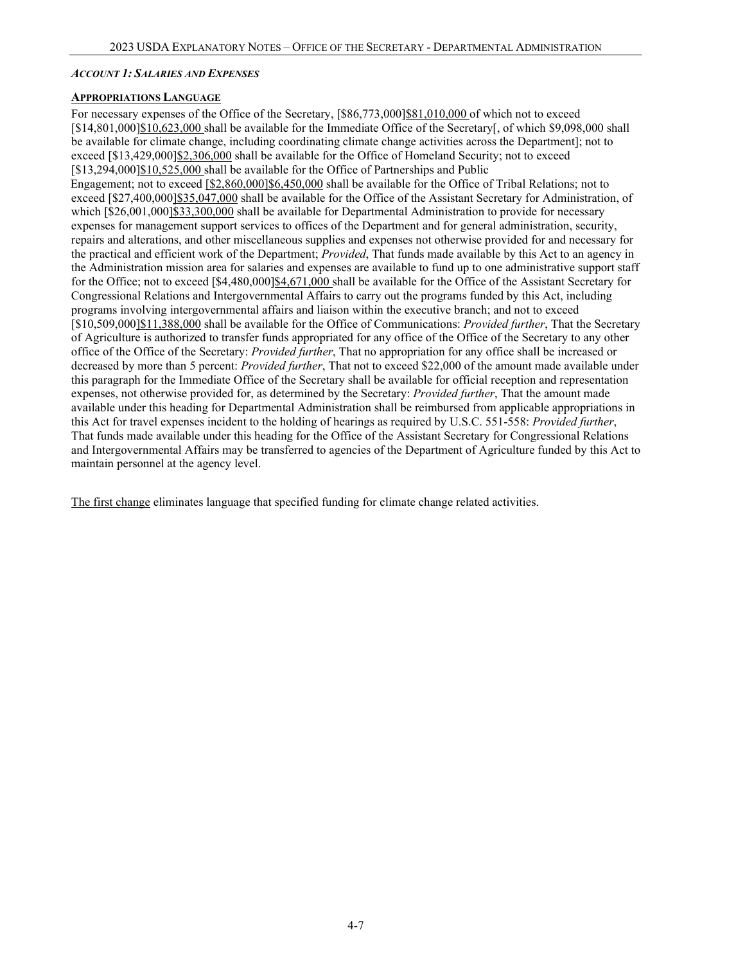#### <span id="page-6-0"></span>*ACCOUNT 1: SALARIES AND EXPENSES*

#### <span id="page-6-1"></span>**APPROPRIATIONS LANGUAGE**

For necessary expenses of the Office of the Secretary,  $[$86,773,000]$  $$81,010,000$  of which not to exceed [\$14,801,000]\$10,623,000 shall be available for the Immediate Office of the Secretary[, of which \$9,098,000 shall be available for climate change, including coordinating climate change activities across the Department]; not to exceed [\$13,429,000]\$2,306,000 shall be available for the Office of Homeland Security; not to exceed [\$13,294,000]\$10,525,000 shall be available for the Office of Partnerships and Public Engagement; not to exceed [\$2,860,000]\$6,450,000 shall be available for the Office of Tribal Relations; not to exceed [\$27,400,000]\$35,047,000 shall be available for the Office of the Assistant Secretary for Administration, of which  $\frac{26,001,0001}{}$ \$33,300,000 shall be available for Departmental Administration to provide for necessary expenses for management support services to offices of the Department and for general administration, security, repairs and alterations, and other miscellaneous supplies and expenses not otherwise provided for and necessary for the practical and efficient work of the Department; *Provided*, That funds made available by this Act to an agency in the Administration mission area for salaries and expenses are available to fund up to one administrative support staff for the Office; not to exceed [\$4,480,000]\$4,671,000 shall be available for the Office of the Assistant Secretary for Congressional Relations and Intergovernmental Affairs to carry out the programs funded by this Act, including programs involving intergovernmental affairs and liaison within the executive branch; and not to exceed [\$10,509,000]\$11,388,000 shall be available for the Office of Communications: *Provided further*, That the Secretary of Agriculture is authorized to transfer funds appropriated for any office of the Office of the Secretary to any other office of the Office of the Secretary: *Provided further*, That no appropriation for any office shall be increased or decreased by more than 5 percent: *Provided further*, That not to exceed \$22,000 of the amount made available under this paragraph for the Immediate Office of the Secretary shall be available for official reception and representation expenses, not otherwise provided for, as determined by the Secretary: *Provided further*, That the amount made available under this heading for Departmental Administration shall be reimbursed from applicable appropriations in this Act for travel expenses incident to the holding of hearings as required by U.S.C. 551-558: *Provided further*, That funds made available under this heading for the Office of the Assistant Secretary for Congressional Relations and Intergovernmental Affairs may be transferred to agencies of the Department of Agriculture funded by this Act to maintain personnel at the agency level.

The first change eliminates language that specified funding for climate change related activities.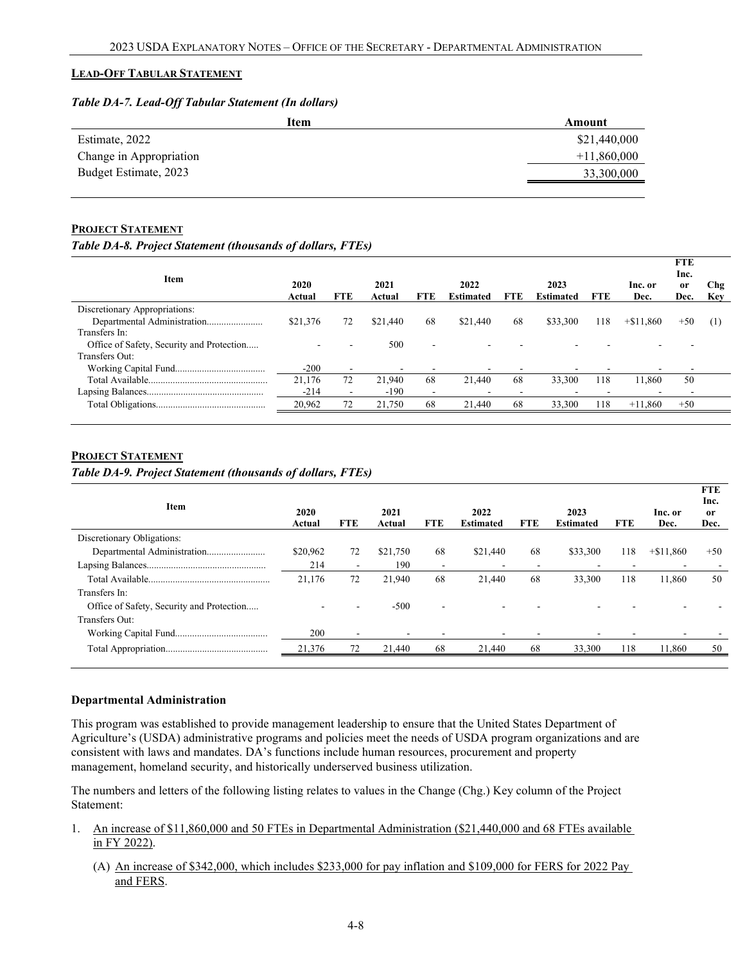#### <span id="page-7-0"></span>**LEAD-OFF TABULAR STATEMENT**

#### *Table DA-7. Lead-Off Tabular Statement (In dollars)*

| Item                    | Amount        |
|-------------------------|---------------|
| Estimate, 2022          | \$21,440,000  |
| Change in Appropriation | $+11,860,000$ |
| Budget Estimate, 2023   | 33,300,000    |
|                         |               |

#### <span id="page-7-1"></span>**PROJECT STATEMENT**

#### *Table DA-8. Project Statement (thousands of dollars, FTEs)*

| Item                                      | 2020<br>Actual | <b>FTE</b>               | 2021<br>Actual | <b>FTE</b>               | 2022<br><b>Estimated</b> | <b>FTE</b> | 2023<br><b>Estimated</b> | <b>FTE</b> | Inc. or<br>Dec. | <b>FTE</b><br>Inc.<br><sub>or</sub><br>Dec. | Chg<br>Key     |
|-------------------------------------------|----------------|--------------------------|----------------|--------------------------|--------------------------|------------|--------------------------|------------|-----------------|---------------------------------------------|----------------|
| Discretionary Appropriations:             |                |                          |                |                          |                          |            |                          |            |                 |                                             |                |
| Departmental Administration               | \$21,376       | 72                       | \$21,440       | 68                       | \$21,440                 | 68         | \$33,300                 | 118        | $+\$11.860$     | $+50$                                       | <sup>(1)</sup> |
| Transfers In:                             |                |                          |                |                          |                          |            |                          |            |                 |                                             |                |
| Office of Safety, Security and Protection |                |                          | 500            |                          |                          |            |                          |            |                 |                                             |                |
| Transfers Out:                            |                |                          |                |                          |                          |            |                          |            |                 |                                             |                |
|                                           | $-200$         | -                        |                |                          |                          |            |                          |            |                 |                                             |                |
|                                           | 21,176         | 72                       | 21.940         | 68                       | 21.440                   | 68         | 33,300                   | 118        | 11.860          | 50                                          |                |
|                                           | $-214$         | $\overline{\phantom{0}}$ | $-190$         | $\overline{\phantom{a}}$ |                          |            | -                        |            |                 |                                             |                |
|                                           | 20,962         | 72                       | 21,750         | 68                       | 21,440                   | 68         | 33,300                   | 118        | $+11,860$       | $+50$                                       |                |
|                                           |                |                          |                |                          |                          |            |                          |            |                 |                                             |                |

#### **PROJECT STATEMENT**

*Table DA-9. Project Statement (thousands of dollars, FTEs)* 

| Item                                      | 2020<br>Actual | <b>FTE</b>               | 2021<br>Actual | <b>FTE</b>               | 2022<br><b>Estimated</b> | <b>FTE</b> | 2023<br><b>Estimated</b> | <b>FTE</b> | Inc. or<br>Dec. | <b>FTE</b><br>Inc.<br>or<br>Dec. |
|-------------------------------------------|----------------|--------------------------|----------------|--------------------------|--------------------------|------------|--------------------------|------------|-----------------|----------------------------------|
| Discretionary Obligations:                |                |                          |                |                          |                          |            |                          |            |                 |                                  |
| Departmental Administration               | \$20,962       | 72                       | \$21,750       | 68                       | \$21,440                 | 68         | \$33,300                 | 118        | $+ $11,860$     | $+50$                            |
|                                           | 214            |                          | 190            | $\overline{\phantom{a}}$ |                          |            | -                        |            |                 |                                  |
|                                           | 21,176         | 72                       | 21,940         | 68                       | 21,440                   | 68         | 33,300                   | 118        | 11,860          | 50                               |
| Transfers In:                             |                |                          |                |                          |                          |            |                          |            |                 |                                  |
| Office of Safety, Security and Protection |                |                          | $-500$         | ۰                        |                          |            |                          |            |                 |                                  |
| Transfers Out:                            |                |                          |                |                          |                          |            |                          |            |                 |                                  |
|                                           | 200            | $\overline{\phantom{a}}$ | ٠              |                          |                          |            |                          |            |                 |                                  |
|                                           | 21,376         | 72                       | 21,440         | 68                       | 21,440                   | 68         | 33,300                   | 118        | 11,860          | 50                               |
|                                           |                |                          |                |                          |                          |            |                          |            |                 |                                  |

#### **Departmental Administration**

This program was established to provide management leadership to ensure that the United States Department of Agriculture's (USDA) administrative programs and policies meet the needs of USDA program organizations and are consistent with laws and mandates. DA's functions include human resources, procurement and property management, homeland security, and historically underserved business utilization.

The numbers and letters of the following listing relates to values in the Change (Chg.) Key column of the Project Statement:

- 1. An increase of \$11,860,000 and 50 FTEs in Departmental Administration (\$21,440,000 and 68 FTEs available in FY 2022).
	- (A) An increase of \$342,000, which includes \$233,000 for pay inflation and \$109,000 for FERS for 2022 Pay and FERS.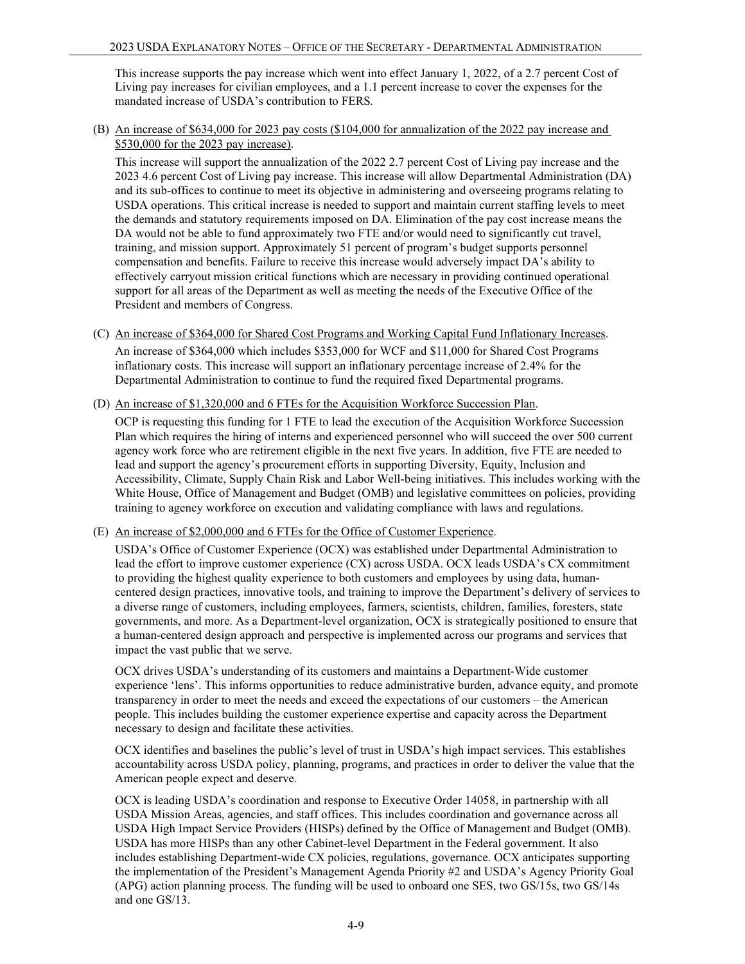This increase supports the pay increase which went into effect January 1, 2022, of a 2.7 percent Cost of Living pay increases for civilian employees, and a 1.1 percent increase to cover the expenses for the mandated increase of USDA's contribution to FERS*.*

(B) An increase of \$634,000 for 2023 pay costs (\$104,000 for annualization of the 2022 pay increase and \$530,000 for the 2023 pay increase).

This increase will support the annualization of the 2022 2.7 percent Cost of Living pay increase and the 2023 4.6 percent Cost of Living pay increase. This increase will allow Departmental Administration (DA) and its sub-offices to continue to meet its objective in administering and overseeing programs relating to USDA operations. This critical increase is needed to support and maintain current staffing levels to meet the demands and statutory requirements imposed on DA. Elimination of the pay cost increase means the DA would not be able to fund approximately two FTE and/or would need to significantly cut travel, training, and mission support. Approximately 51 percent of program's budget supports personnel compensation and benefits. Failure to receive this increase would adversely impact DA's ability to effectively carryout mission critical functions which are necessary in providing continued operational support for all areas of the Department as well as meeting the needs of the Executive Office of the President and members of Congress.

- (C) An increase of \$364,000 for Shared Cost Programs and Working Capital Fund Inflationary Increases. An increase of \$364,000 which includes \$353,000 for WCF and \$11,000 for Shared Cost Programs inflationary costs. This increase will support an inflationary percentage increase of 2.4% for the Departmental Administration to continue to fund the required fixed Departmental programs.
- (D) An increase of \$1,320,000 and 6 FTEs for the Acquisition Workforce Succession Plan.

OCP is requesting this funding for 1 FTE to lead the execution of the Acquisition Workforce Succession Plan which requires the hiring of interns and experienced personnel who will succeed the over 500 current agency work force who are retirement eligible in the next five years. In addition, five FTE are needed to lead and support the agency's procurement efforts in supporting Diversity, Equity, Inclusion and Accessibility, Climate, Supply Chain Risk and Labor Well-being initiatives. This includes working with the White House, Office of Management and Budget (OMB) and legislative committees on policies, providing training to agency workforce on execution and validating compliance with laws and regulations.

(E) An increase of \$2,000,000 and 6 FTEs for the Office of Customer Experience.

USDA's Office of Customer Experience (OCX) was established under Departmental Administration to lead the effort to improve customer experience (CX) across USDA. OCX leads USDA's CX commitment to providing the highest quality experience to both customers and employees by using data, humancentered design practices, innovative tools, and training to improve the Department's delivery of services to a diverse range of customers, including employees, farmers, scientists, children, families, foresters, state governments, and more. As a Department-level organization, OCX is strategically positioned to ensure that a human-centered design approach and perspective is implemented across our programs and services that impact the vast public that we serve.

OCX drives USDA's understanding of its customers and maintains a Department-Wide customer experience 'lens'. This informs opportunities to reduce administrative burden, advance equity, and promote transparency in order to meet the needs and exceed the expectations of our customers – the American people. This includes building the customer experience expertise and capacity across the Department necessary to design and facilitate these activities.

OCX identifies and baselines the public's level of trust in USDA's high impact services. This establishes accountability across USDA policy, planning, programs, and practices in order to deliver the value that the American people expect and deserve.

OCX is leading USDA's coordination and response to Executive Order 14058, in partnership with all USDA Mission Areas, agencies, and staff offices. This includes coordination and governance across all USDA High Impact Service Providers (HISPs) defined by the Office of Management and Budget (OMB). USDA has more HISPs than any other Cabinet-level Department in the Federal government. It also includes establishing Department-wide CX policies, regulations, governance. OCX anticipates supporting the implementation of the President's Management Agenda Priority #2 and USDA's Agency Priority Goal (APG) action planning process. The funding will be used to onboard one SES, two GS/15s, two GS/14s and one GS/13.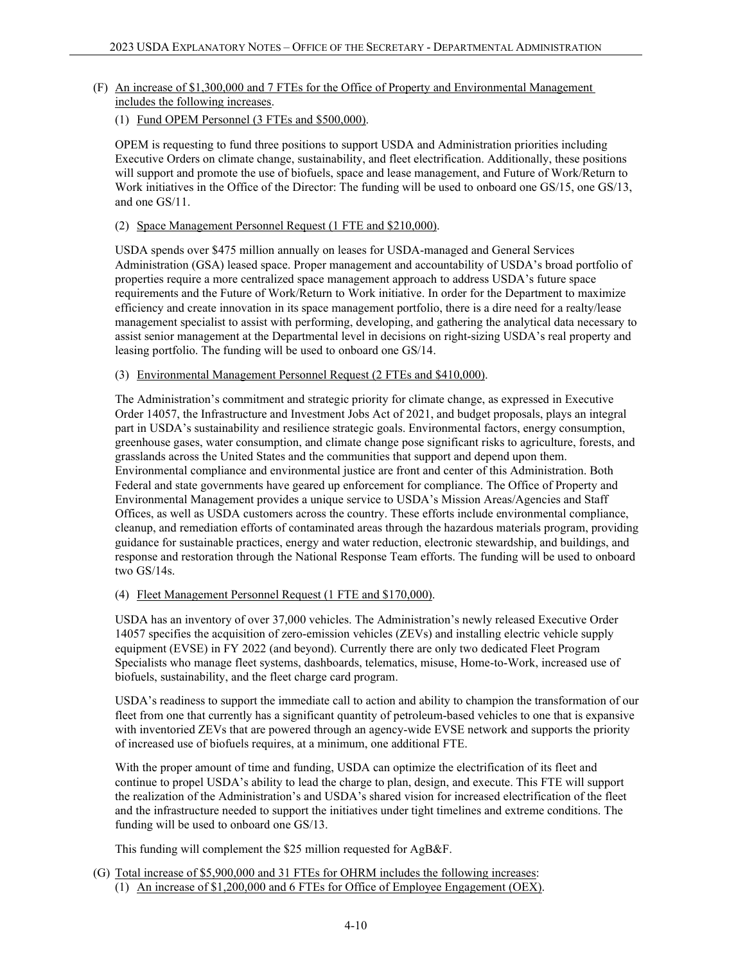# (F) An increase of \$1,300,000 and 7 FTEs for the Office of Property and Environmental Management includes the following increases.

## (1) Fund OPEM Personnel (3 FTEs and \$500,000).

OPEM is requesting to fund three positions to support USDA and Administration priorities including Executive Orders on climate change, sustainability, and fleet electrification. Additionally, these positions will support and promote the use of biofuels, space and lease management, and Future of Work/Return to Work initiatives in the Office of the Director: The funding will be used to onboard one GS/15, one GS/13, and one GS/11.

## (2) Space Management Personnel Request (1 FTE and \$210,000).

USDA spends over \$475 million annually on leases for USDA-managed and General Services Administration (GSA) leased space. Proper management and accountability of USDA's broad portfolio of properties require a more centralized space management approach to address USDA's future space requirements and the Future of Work/Return to Work initiative. In order for the Department to maximize efficiency and create innovation in its space management portfolio, there is a dire need for a realty/lease management specialist to assist with performing, developing, and gathering the analytical data necessary to assist senior management at the Departmental level in decisions on right-sizing USDA's real property and leasing portfolio. The funding will be used to onboard one GS/14.

## (3) Environmental Management Personnel Request (2 FTEs and \$410,000).

The Administration's commitment and strategic priority for climate change, as expressed in Executive Order 14057, the Infrastructure and Investment Jobs Act of 2021, and budget proposals, plays an integral part in USDA's sustainability and resilience strategic goals. Environmental factors, energy consumption, greenhouse gases, water consumption, and climate change pose significant risks to agriculture, forests, and grasslands across the United States and the communities that support and depend upon them. Environmental compliance and environmental justice are front and center of this Administration. Both Federal and state governments have geared up enforcement for compliance. The Office of Property and Environmental Management provides a unique service to USDA's Mission Areas/Agencies and Staff Offices, as well as USDA customers across the country. These efforts include environmental compliance, cleanup, and remediation efforts of contaminated areas through the hazardous materials program, providing guidance for sustainable practices, energy and water reduction, electronic stewardship, and buildings, and response and restoration through the National Response Team efforts. The funding will be used to onboard two GS/14s.

### (4) Fleet Management Personnel Request (1 FTE and \$170,000).

USDA has an inventory of over 37,000 vehicles. The Administration's newly released Executive Order 14057 specifies the acquisition of zero-emission vehicles (ZEVs) and installing electric vehicle supply equipment (EVSE) in FY 2022 (and beyond). Currently there are only two dedicated Fleet Program Specialists who manage fleet systems, dashboards, telematics, misuse, Home-to-Work, increased use of biofuels, sustainability, and the fleet charge card program.

USDA's readiness to support the immediate call to action and ability to champion the transformation of our fleet from one that currently has a significant quantity of petroleum-based vehicles to one that is expansive with inventoried ZEVs that are powered through an agency-wide EVSE network and supports the priority of increased use of biofuels requires, at a minimum, one additional FTE.

With the proper amount of time and funding, USDA can optimize the electrification of its fleet and continue to propel USDA's ability to lead the charge to plan, design, and execute. This FTE will support the realization of the Administration's and USDA's shared vision for increased electrification of the fleet and the infrastructure needed to support the initiatives under tight timelines and extreme conditions. The funding will be used to onboard one GS/13.

This funding will complement the \$25 million requested for AgB&F.

(G) Total increase of \$5,900,000 and 31 FTEs for OHRM includes the following increases: (1) An increase of \$1,200,000 and 6 FTEs for Office of Employee Engagement (OEX).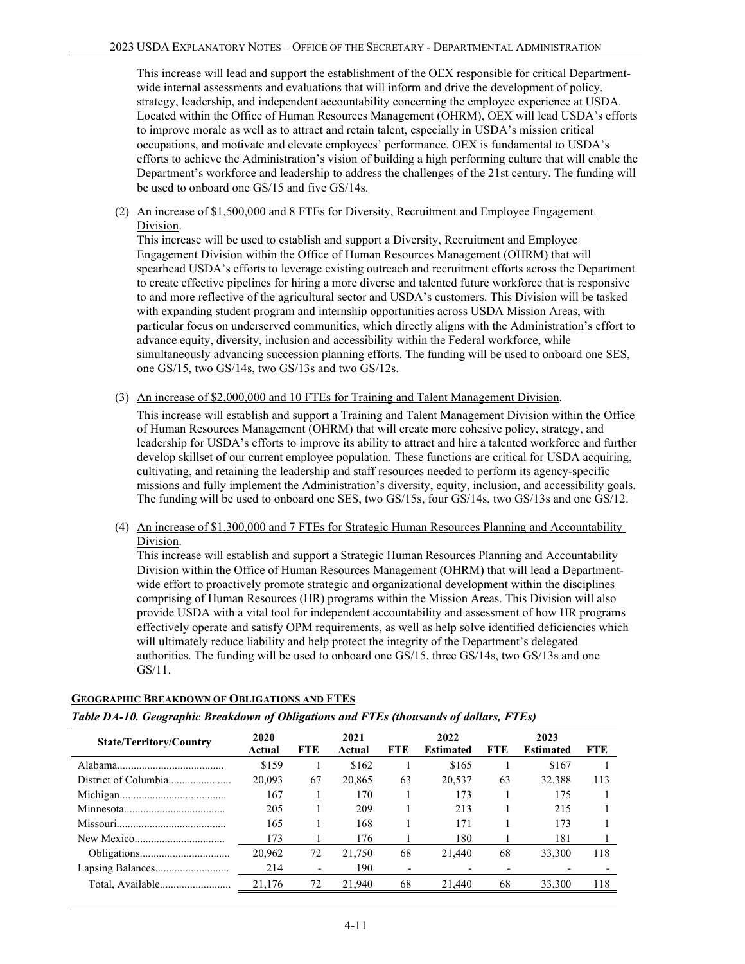This increase will lead and support the establishment of the OEX responsible for critical Departmentwide internal assessments and evaluations that will inform and drive the development of policy, strategy, leadership, and independent accountability concerning the employee experience at USDA. Located within the Office of Human Resources Management (OHRM), OEX will lead USDA's efforts to improve morale as well as to attract and retain talent, especially in USDA's mission critical occupations, and motivate and elevate employees' performance. OEX is fundamental to USDA's efforts to achieve the Administration's vision of building a high performing culture that will enable the Department's workforce and leadership to address the challenges of the 21st century. The funding will be used to onboard one GS/15 and five GS/14s.

(2) An increase of \$1,500,000 and 8 FTEs for Diversity, Recruitment and Employee Engagement Division.

This increase will be used to establish and support a Diversity, Recruitment and Employee Engagement Division within the Office of Human Resources Management (OHRM) that will spearhead USDA's efforts to leverage existing outreach and recruitment efforts across the Department to create effective pipelines for hiring a more diverse and talented future workforce that is responsive to and more reflective of the agricultural sector and USDA's customers. This Division will be tasked with expanding student program and internship opportunities across USDA Mission Areas, with particular focus on underserved communities, which directly aligns with the Administration's effort to advance equity, diversity, inclusion and accessibility within the Federal workforce, while simultaneously advancing succession planning efforts. The funding will be used to onboard one SES, one GS/15, two GS/14s, two GS/13s and two GS/12s.

(3) An increase of \$2,000,000 and 10 FTEs for Training and Talent Management Division.

This increase will establish and support a Training and Talent Management Division within the Office of Human Resources Management (OHRM) that will create more cohesive policy, strategy, and leadership for USDA's efforts to improve its ability to attract and hire a talented workforce and further develop skillset of our current employee population. These functions are critical for USDA acquiring, cultivating, and retaining the leadership and staff resources needed to perform its agency-specific missions and fully implement the Administration's diversity, equity, inclusion, and accessibility goals. The funding will be used to onboard one SES, two GS/15s, four GS/14s, two GS/13s and one GS/12.

(4) An increase of \$1,300,000 and 7 FTEs for Strategic Human Resources Planning and Accountability Division.

This increase will establish and support a Strategic Human Resources Planning and Accountability Division within the Office of Human Resources Management (OHRM) that will lead a Departmentwide effort to proactively promote strategic and organizational development within the disciplines comprising of Human Resources (HR) programs within the Mission Areas. This Division will also provide USDA with a vital tool for independent accountability and assessment of how HR programs effectively operate and satisfy OPM requirements, as well as help solve identified deficiencies which will ultimately reduce liability and help protect the integrity of the Department's delegated authorities. The funding will be used to onboard one GS/15, three GS/14s, two GS/13s and one GS/11.

|                                | Table DA-10. Geographic Breakdown of Obligations and FTEs (thousands of dollars, FTEs) |     |                |                          |                          |            |                          |            |  |  |  |  |  |  |
|--------------------------------|----------------------------------------------------------------------------------------|-----|----------------|--------------------------|--------------------------|------------|--------------------------|------------|--|--|--|--|--|--|
| <b>State/Territory/Country</b> | 2020<br>Actual                                                                         | FTE | 2021<br>Actual | <b>FTE</b>               | 2022<br><b>Estimated</b> | <b>FTE</b> | 2023<br><b>Estimated</b> | <b>FTE</b> |  |  |  |  |  |  |
|                                | \$159                                                                                  |     | \$162          |                          | \$165                    |            | \$167                    |            |  |  |  |  |  |  |
|                                | 20,093                                                                                 | 67  | 20,865         | 63                       | 20.537                   | 63         | 32,388                   | 113        |  |  |  |  |  |  |
|                                | 167                                                                                    |     | 170            |                          | 173                      |            | 175                      |            |  |  |  |  |  |  |
|                                | 205                                                                                    |     | 209            |                          | 213                      |            | 215                      |            |  |  |  |  |  |  |
|                                | 165                                                                                    |     | 168            |                          | 171                      |            | 173                      |            |  |  |  |  |  |  |
|                                | 173                                                                                    |     | 176            |                          | 180                      |            | 181                      |            |  |  |  |  |  |  |
|                                | 20.962                                                                                 | 72  | 21,750         | 68                       | 21,440                   | 68         | 33,300                   | 118        |  |  |  |  |  |  |
|                                | 214                                                                                    |     | 190            | $\overline{\phantom{0}}$ |                          |            |                          |            |  |  |  |  |  |  |
|                                | 21,176                                                                                 | 72  | 21,940         | 68                       | 21,440                   | 68         | 33,300                   | 118        |  |  |  |  |  |  |

### **GEOGRAPHIC BREAKDOWN OF OBLIGATIONS AND FTES**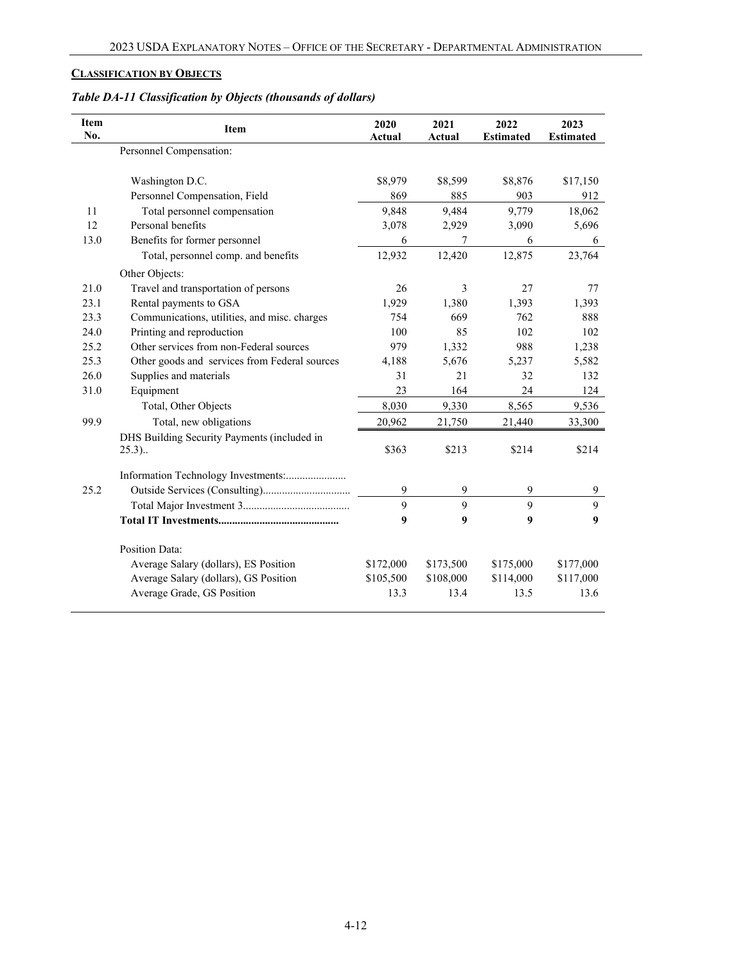# **CLASSIFICATION BY OBJECTS**

# *Table DA-11 Classification by Objects (thousands of dollars)*

| <b>Item</b><br>No. | Item                                          | 2020<br>Actual | 2021<br>Actual | 2022<br><b>Estimated</b> | 2023<br><b>Estimated</b> |
|--------------------|-----------------------------------------------|----------------|----------------|--------------------------|--------------------------|
|                    | Personnel Compensation:                       |                |                |                          |                          |
|                    | Washington D.C.                               | \$8,979        | \$8,599        | \$8,876                  | \$17,150                 |
|                    | Personnel Compensation, Field                 | 869            | 885            | 903                      | 912                      |
| 11                 | Total personnel compensation                  | 9,848          | 9,484          | 9,779                    | 18,062                   |
| 12                 | Personal benefits                             | 3,078          | 2,929          | 3,090                    | 5,696                    |
| 13.0               | Benefits for former personnel                 | 6              | 7              | 6                        | 6                        |
|                    | Total, personnel comp. and benefits           | 12,932         | 12,420         | 12,875                   | 23,764                   |
|                    | Other Objects:                                |                |                |                          |                          |
| 21.0               | Travel and transportation of persons          | 26             | $\overline{3}$ | 27                       | 77                       |
| 23.1               | Rental payments to GSA                        | 1,929          | 1,380          | 1,393                    | 1,393                    |
| 23.3               | Communications, utilities, and misc. charges  | 754            | 669            | 762                      | 888                      |
| 24.0               | Printing and reproduction                     | 100            | 85             | 102                      | 102                      |
| 25.2               | Other services from non-Federal sources       | 979            | 1,332          | 988                      | 1,238                    |
| 25.3               | Other goods and services from Federal sources | 4,188          | 5,676          | 5,237                    | 5,582                    |
| 26.0               | Supplies and materials                        | 31             | 21             | 32                       | 132                      |
| 31.0               | Equipment                                     | 23             | 164            | 24                       | 124                      |
|                    | Total, Other Objects                          | 8,030          | 9,330          | 8,565                    | 9,536                    |
| 99.9               | Total, new obligations                        | 20,962         | 21,750         | 21,440                   | 33,300                   |
|                    | DHS Building Security Payments (included in   |                |                |                          |                          |
|                    | 25.3).                                        | \$363          | \$213          | \$214                    | \$214                    |
|                    |                                               |                |                |                          |                          |
| 25.2               |                                               | 9              | 9              | 9                        | 9                        |
|                    |                                               | 9              | 9              | 9                        | 9                        |
|                    |                                               | 9              | 9              | 9                        | 9                        |
|                    | <b>Position Data:</b>                         |                |                |                          |                          |
|                    | Average Salary (dollars), ES Position         | \$172,000      | \$173,500      | \$175,000                | \$177,000                |
|                    | Average Salary (dollars), GS Position         | \$105,500      | \$108,000      | \$114,000                | \$117,000                |
|                    | Average Grade, GS Position                    | 13.3           | 13.4           | 13.5                     | 13.6                     |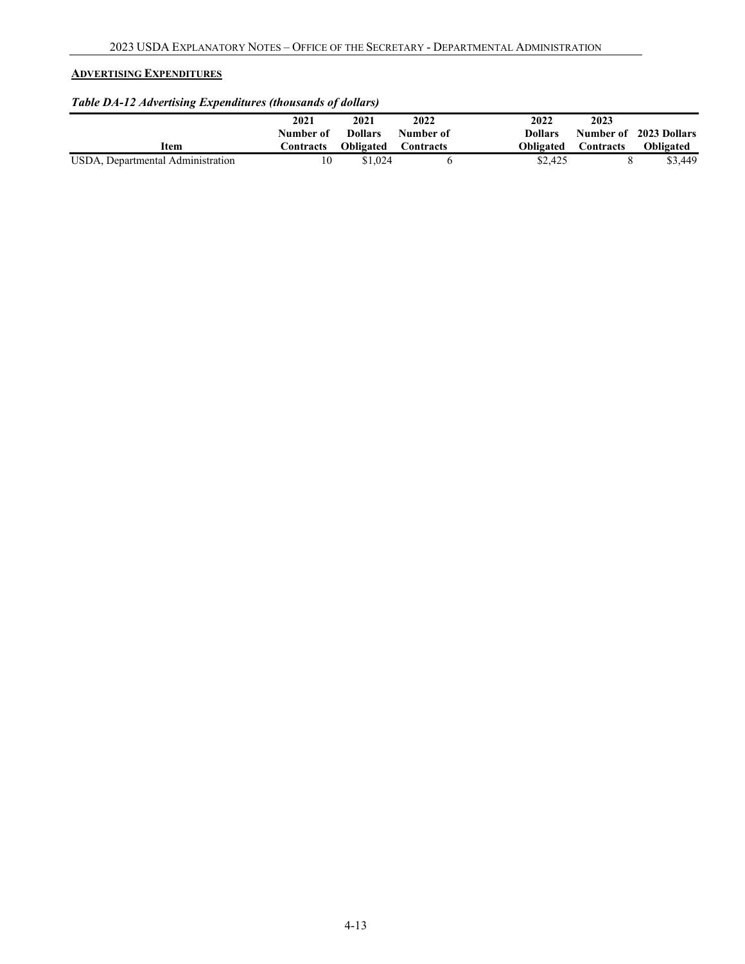## **ADVERTISING EXPENDITURES**

# *Table DA-12 Advertising Expenditures (thousands of dollars)*

|      | 2021      | 2021             | 2022      | 2022           | 2023             |                        |
|------|-----------|------------------|-----------|----------------|------------------|------------------------|
|      | Number of | <b>Dollars</b>   | Number of | <b>Dollars</b> |                  | Number of 2023 Dollars |
| Item | Contracts | <b>Obligated</b> | Contracts | Obligated      | <b>Contracts</b> | <b>Obligated</b>       |
|      |           |                  |           |                |                  |                        |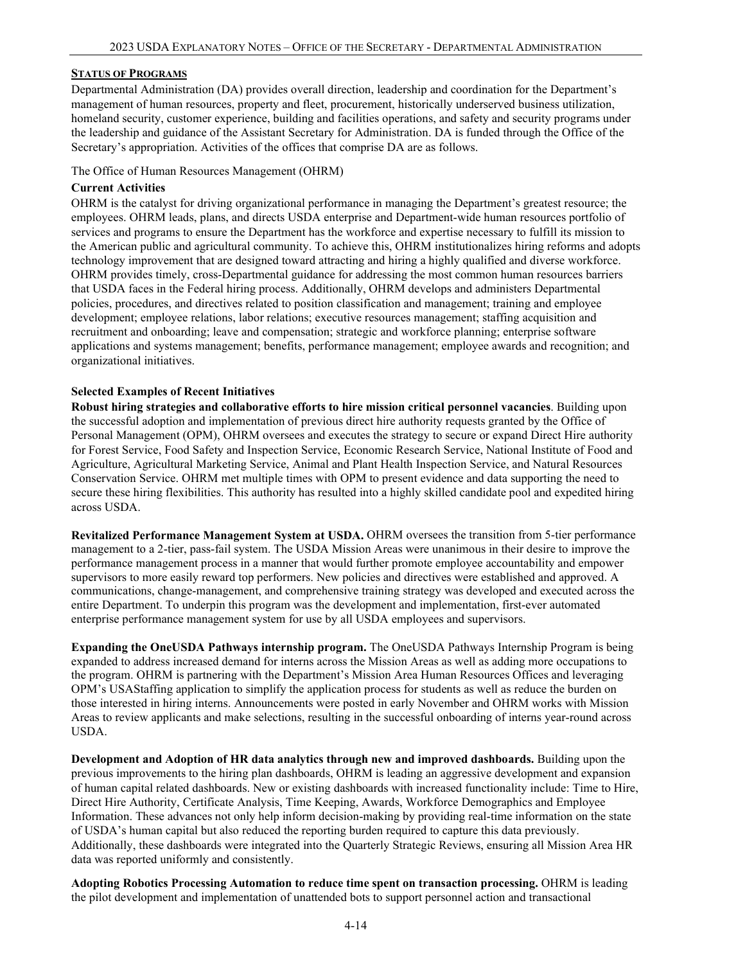#### <span id="page-13-0"></span>**STATUS OF PROGRAMS**

Departmental Administration (DA) provides overall direction, leadership and coordination for the Department's management of human resources, property and fleet, procurement, historically underserved business utilization, homeland security, customer experience, building and facilities operations, and safety and security programs under the leadership and guidance of the Assistant Secretary for Administration. DA is funded through the Office of the Secretary's appropriation. Activities of the offices that comprise DA are as follows.

The Office of Human Resources Management (OHRM)

#### **Current Activities**

OHRM is the catalyst for driving organizational performance in managing the Department's greatest resource; the employees. OHRM leads, plans, and directs USDA enterprise and Department-wide human resources portfolio of services and programs to ensure the Department has the workforce and expertise necessary to fulfill its mission to the American public and agricultural community. To achieve this, OHRM institutionalizes hiring reforms and adopts technology improvement that are designed toward attracting and hiring a highly qualified and diverse workforce. OHRM provides timely, cross-Departmental guidance for addressing the most common human resources barriers that USDA faces in the Federal hiring process. Additionally, OHRM develops and administers Departmental policies, procedures, and directives related to position classification and management; training and employee development; employee relations, labor relations; executive resources management; staffing acquisition and recruitment and onboarding; leave and compensation; strategic and workforce planning; enterprise software applications and systems management; benefits, performance management; employee awards and recognition; and organizational initiatives.

#### **Selected Examples of Recent Initiatives**

**Robust hiring strategies and collaborative efforts to hire mission critical personnel vacancies**. Building upon the successful adoption and implementation of previous direct hire authority requests granted by the Office of Personal Management (OPM), OHRM oversees and executes the strategy to secure or expand Direct Hire authority for Forest Service, Food Safety and Inspection Service, Economic Research Service, National Institute of Food and Agriculture, Agricultural Marketing Service, Animal and Plant Health Inspection Service, and Natural Resources Conservation Service. OHRM met multiple times with OPM to present evidence and data supporting the need to secure these hiring flexibilities. This authority has resulted into a highly skilled candidate pool and expedited hiring across USDA.

**Revitalized Performance Management System at USDA.** OHRM oversees the transition from 5-tier performance management to a 2-tier, pass-fail system. The USDA Mission Areas were unanimous in their desire to improve the performance management process in a manner that would further promote employee accountability and empower supervisors to more easily reward top performers. New policies and directives were established and approved. A communications, change-management, and comprehensive training strategy was developed and executed across the entire Department. To underpin this program was the development and implementation, first-ever automated enterprise performance management system for use by all USDA employees and supervisors.

**Expanding the OneUSDA Pathways internship program.** The OneUSDA Pathways Internship Program is being expanded to address increased demand for interns across the Mission Areas as well as adding more occupations to the program. OHRM is partnering with the Department's Mission Area Human Resources Offices and leveraging OPM's USAStaffing application to simplify the application process for students as well as reduce the burden on those interested in hiring interns. Announcements were posted in early November and OHRM works with Mission Areas to review applicants and make selections, resulting in the successful onboarding of interns year-round across USDA.

**Development and Adoption of HR data analytics through new and improved dashboards.** Building upon the previous improvements to the hiring plan dashboards, OHRM is leading an aggressive development and expansion of human capital related dashboards. New or existing dashboards with increased functionality include: Time to Hire, Direct Hire Authority, Certificate Analysis, Time Keeping, Awards, Workforce Demographics and Employee Information. These advances not only help inform decision-making by providing real-time information on the state of USDA's human capital but also reduced the reporting burden required to capture this data previously. Additionally, these dashboards were integrated into the Quarterly Strategic Reviews, ensuring all Mission Area HR data was reported uniformly and consistently.

**Adopting Robotics Processing Automation to reduce time spent on transaction processing.** OHRM is leading the pilot development and implementation of unattended bots to support personnel action and transactional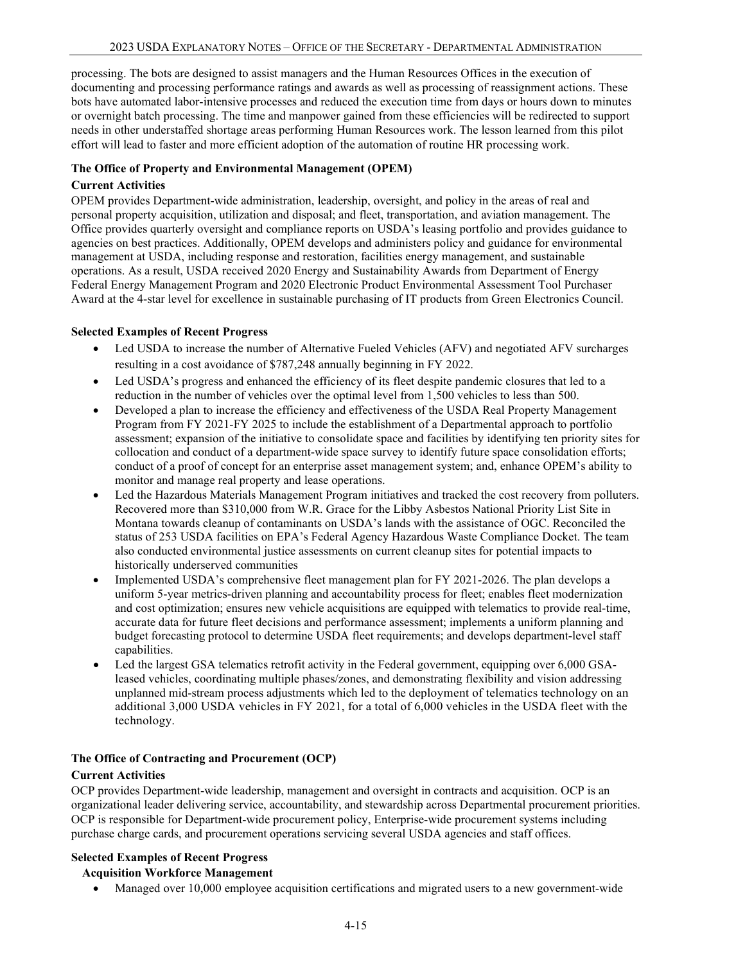processing. The bots are designed to assist managers and the Human Resources Offices in the execution of documenting and processing performance ratings and awards as well as processing of reassignment actions. These bots have automated labor-intensive processes and reduced the execution time from days or hours down to minutes or overnight batch processing. The time and manpower gained from these efficiencies will be redirected to support needs in other understaffed shortage areas performing Human Resources work. The lesson learned from this pilot effort will lead to faster and more efficient adoption of the automation of routine HR processing work.

#### **The Office of Property and Environmental Management (OPEM)**

### **Current Activities**

OPEM provides Department-wide administration, leadership, oversight, and policy in the areas of real and personal property acquisition, utilization and disposal; and fleet, transportation, and aviation management. The Office provides quarterly oversight and compliance reports on USDA's leasing portfolio and provides guidance to agencies on best practices. Additionally, OPEM develops and administers policy and guidance for environmental management at USDA, including response and restoration, facilities energy management, and sustainable operations. As a result, USDA received 2020 Energy and Sustainability Awards from Department of Energy Federal Energy Management Program and 2020 Electronic Product Environmental Assessment Tool Purchaser Award at the 4-star level for excellence in sustainable purchasing of IT products from Green Electronics Council.

### **Selected Examples of Recent Progress**

- Led USDA to increase the number of Alternative Fueled Vehicles (AFV) and negotiated AFV surcharges resulting in a cost avoidance of \$787,248 annually beginning in FY 2022.
- Led USDA's progress and enhanced the efficiency of its fleet despite pandemic closures that led to a reduction in the number of vehicles over the optimal level from 1,500 vehicles to less than 500.
- Developed a plan to increase the efficiency and effectiveness of the USDA Real Property Management Program from FY 2021-FY 2025 to include the establishment of a Departmental approach to portfolio assessment; expansion of the initiative to consolidate space and facilities by identifying ten priority sites for collocation and conduct of a department-wide space survey to identify future space consolidation efforts; conduct of a proof of concept for an enterprise asset management system; and, enhance OPEM's ability to monitor and manage real property and lease operations.
- Led the Hazardous Materials Management Program initiatives and tracked the cost recovery from polluters. Recovered more than \$310,000 from W.R. Grace for the Libby Asbestos National Priority List Site in Montana towards cleanup of contaminants on USDA's lands with the assistance of OGC. Reconciled the status of 253 USDA facilities on EPA's Federal Agency Hazardous Waste Compliance Docket. The team also conducted environmental justice assessments on current cleanup sites for potential impacts to historically underserved communities
- Implemented USDA's comprehensive fleet management plan for FY 2021-2026. The plan develops a uniform 5-year metrics-driven planning and accountability process for fleet; enables fleet modernization and cost optimization; ensures new vehicle acquisitions are equipped with telematics to provide real-time, accurate data for future fleet decisions and performance assessment; implements a uniform planning and budget forecasting protocol to determine USDA fleet requirements; and develops department-level staff capabilities.
- Led the largest GSA telematics retrofit activity in the Federal government, equipping over 6,000 GSAleased vehicles, coordinating multiple phases/zones, and demonstrating flexibility and vision addressing unplanned mid-stream process adjustments which led to the deployment of telematics technology on an additional 3,000 USDA vehicles in FY 2021, for a total of 6,000 vehicles in the USDA fleet with the technology.

### **The Office of Contracting and Procurement (OCP)**

#### **Current Activities**

OCP provides Department-wide leadership, management and oversight in contracts and acquisition. OCP is an organizational leader delivering service, accountability, and stewardship across Departmental procurement priorities. OCP is responsible for Department-wide procurement policy, Enterprise-wide procurement systems including purchase charge cards, and procurement operations servicing several USDA agencies and staff offices.

### **Selected Examples of Recent Progress**

### **Acquisition Workforce Management**

• Managed over 10,000 employee acquisition certifications and migrated users to a new government-wide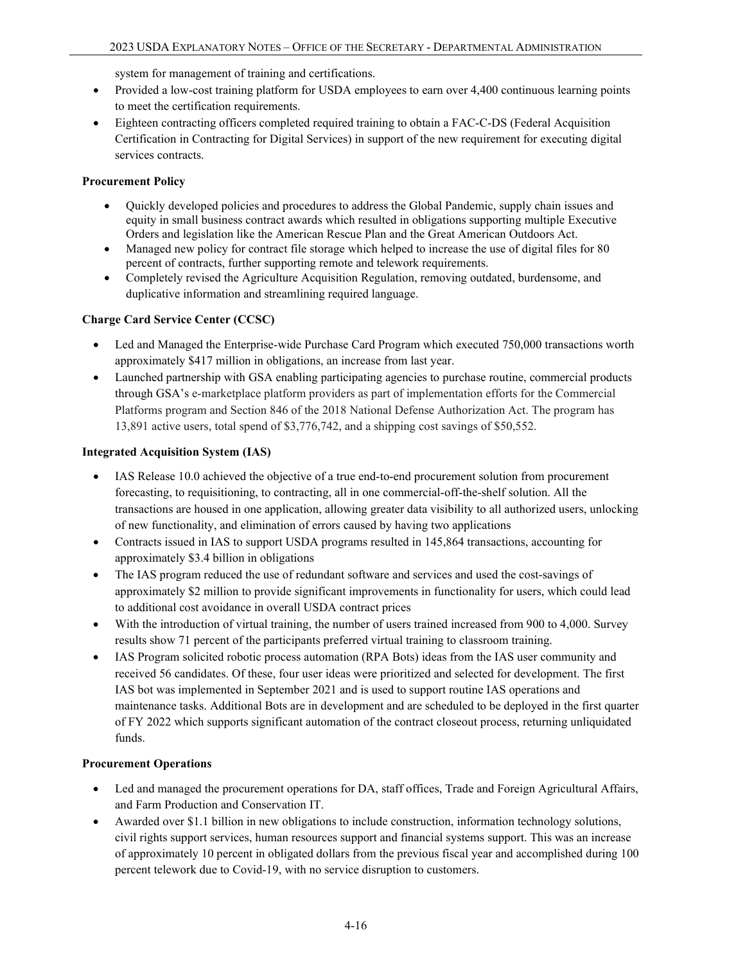system for management of training and certifications.

- Provided a low-cost training platform for USDA employees to earn over 4,400 continuous learning points to meet the certification requirements.
- Eighteen contracting officers completed required training to obtain a FAC-C-DS (Federal Acquisition Certification in Contracting for Digital Services) in support of the new requirement for executing digital services contracts.

## **Procurement Policy**

- Quickly developed policies and procedures to address the Global Pandemic, supply chain issues and equity in small business contract awards which resulted in obligations supporting multiple Executive Orders and legislation like the American Rescue Plan and the Great American Outdoors Act.
- Managed new policy for contract file storage which helped to increase the use of digital files for 80 percent of contracts, further supporting remote and telework requirements.
- Completely revised the Agriculture Acquisition Regulation, removing outdated, burdensome, and duplicative information and streamlining required language.

## **Charge Card Service Center (CCSC)**

- Led and Managed the Enterprise-wide Purchase Card Program which executed 750,000 transactions worth approximately \$417 million in obligations, an increase from last year.
- Launched partnership with GSA enabling participating agencies to purchase routine, commercial products through GSA's e-marketplace platform providers as part of implementation efforts for the Commercial Platforms program and Section 846 of the 2018 National Defense Authorization Act. The program has 13,891 active users, total spend of \$3,776,742, and a shipping cost savings of \$50,552.

## **Integrated Acquisition System (IAS)**

- IAS Release 10.0 achieved the objective of a true end-to-end procurement solution from procurement forecasting, to requisitioning, to contracting, all in one commercial-off-the-shelf solution. All the transactions are housed in one application, allowing greater data visibility to all authorized users, unlocking of new functionality, and elimination of errors caused by having two applications
- Contracts issued in IAS to support USDA programs resulted in 145,864 transactions, accounting for approximately \$3.4 billion in obligations
- The IAS program reduced the use of redundant software and services and used the cost-savings of approximately \$2 million to provide significant improvements in functionality for users, which could lead to additional cost avoidance in overall USDA contract prices
- With the introduction of virtual training, the number of users trained increased from 900 to 4,000. Survey results show 71 percent of the participants preferred virtual training to classroom training.
- IAS Program solicited robotic process automation (RPA Bots) ideas from the IAS user community and received 56 candidates. Of these, four user ideas were prioritized and selected for development. The first IAS bot was implemented in September 2021 and is used to support routine IAS operations and maintenance tasks. Additional Bots are in development and are scheduled to be deployed in the first quarter of FY 2022 which supports significant automation of the contract closeout process, returning unliquidated funds.

### **Procurement Operations**

- Led and managed the procurement operations for DA, staff offices, Trade and Foreign Agricultural Affairs, and Farm Production and Conservation IT.
- Awarded over \$1.1 billion in new obligations to include construction, information technology solutions, civil rights support services, human resources support and financial systems support. This was an increase of approximately 10 percent in obligated dollars from the previous fiscal year and accomplished during 100 percent telework due to Covid-19, with no service disruption to customers.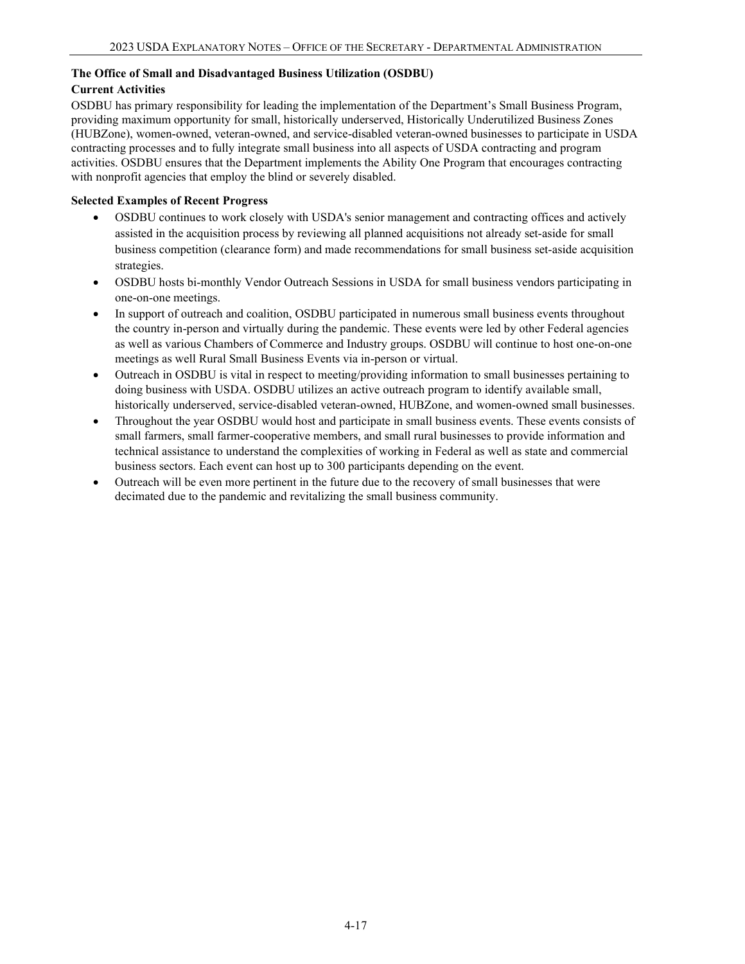## **The Office of Small and Disadvantaged Business Utilization (OSDBU)**

### **Current Activities**

OSDBU has primary responsibility for leading the implementation of the Department's Small Business Program, providing maximum opportunity for small, historically underserved, Historically Underutilized Business Zones (HUBZone), women-owned, veteran-owned, and service-disabled veteran-owned businesses to participate in USDA contracting processes and to fully integrate small business into all aspects of USDA contracting and program activities. OSDBU ensures that the Department implements the Ability One Program that encourages contracting with nonprofit agencies that employ the blind or severely disabled.

## **Selected Examples of Recent Progress**

- OSDBU continues to work closely with USDA's senior management and contracting offices and actively assisted in the acquisition process by reviewing all planned acquisitions not already set-aside for small business competition (clearance form) and made recommendations for small business set-aside acquisition strategies.
- OSDBU hosts bi-monthly Vendor Outreach Sessions in USDA for small business vendors participating in one-on-one meetings.
- In support of outreach and coalition, OSDBU participated in numerous small business events throughout the country in-person and virtually during the pandemic. These events were led by other Federal agencies as well as various Chambers of Commerce and Industry groups. OSDBU will continue to host one-on-one meetings as well Rural Small Business Events via in-person or virtual.
- Outreach in OSDBU is vital in respect to meeting/providing information to small businesses pertaining to doing business with USDA. OSDBU utilizes an active outreach program to identify available small, historically underserved, service-disabled veteran-owned, HUBZone, and women-owned small businesses.
- Throughout the year OSDBU would host and participate in small business events. These events consists of small farmers, small farmer-cooperative members, and small rural businesses to provide information and technical assistance to understand the complexities of working in Federal as well as state and commercial business sectors. Each event can host up to 300 participants depending on the event.
- Outreach will be even more pertinent in the future due to the recovery of small businesses that were decimated due to the pandemic and revitalizing the small business community.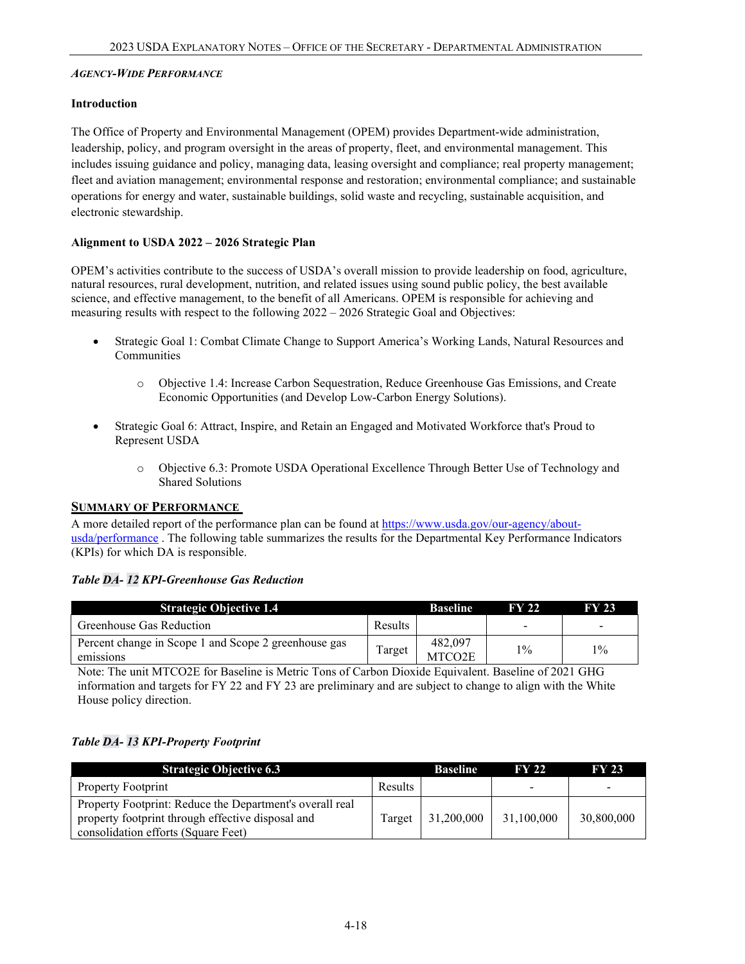#### *AGENCY-WIDE PERFORMANCE*

#### **Introduction**

The Office of Property and Environmental Management (OPEM) provides Department-wide administration, leadership, policy, and program oversight in the areas of property, fleet, and environmental management. This includes issuing guidance and policy, managing data, leasing oversight and compliance; real property management; fleet and aviation management; environmental response and restoration; environmental compliance; and sustainable operations for energy and water, sustainable buildings, solid waste and recycling, sustainable acquisition, and electronic stewardship.

#### **Alignment to USDA 2022 – 2026 Strategic Plan**

OPEM's activities contribute to the success of USDA's overall mission to provide leadership on food, agriculture, natural resources, rural development, nutrition, and related issues using sound public policy, the best available science, and effective management, to the benefit of all Americans. OPEM is responsible for achieving and measuring results with respect to the following 2022 – 2026 Strategic Goal and Objectives:

- Strategic Goal 1: Combat Climate Change to Support America's Working Lands, Natural Resources and Communities
	- o Objective 1.4: Increase Carbon Sequestration, Reduce Greenhouse Gas Emissions, and Create Economic Opportunities (and Develop Low-Carbon Energy Solutions).
- Strategic Goal 6: Attract, Inspire, and Retain an Engaged and Motivated Workforce that's Proud to Represent USDA
	- o Objective 6.3: Promote USDA Operational Excellence Through Better Use of Technology and Shared Solutions

#### <span id="page-17-0"></span>**SUMMARY OF PERFORMANCE**

A more detailed report of the performance plan can be found at [https://www.usda.gov/our-agency/about](https://www.usda.gov/our-agency/about-usda/performance)[usda/performance](https://www.usda.gov/our-agency/about-usda/performance) . The following table summarizes the results for the Departmental Key Performance Indicators (KPIs) for which DA is responsible.

#### *Table DA- 12 KPI-Greenhouse Gas Reduction*

| <b>Strategic Objective 1.4</b>                                    |         | <b>Baseline</b>                | <b>FY 22</b> | <b>FY 23</b> |
|-------------------------------------------------------------------|---------|--------------------------------|--------------|--------------|
| Greenhouse Gas Reduction                                          | Results |                                |              |              |
| Percent change in Scope 1 and Scope 2 greenhouse gas<br>emissions | Target  | 482,097<br>MTCO <sub>2</sub> E | $1\%$        | $1\%$        |

Note: The unit MTCO2E for Baseline is Metric Tons of Carbon Dioxide Equivalent. Baseline of 2021 GHG information and targets for FY 22 and FY 23 are preliminary and are subject to change to align with the White House policy direction.

### *Table DA- 13 KPI-Property Footprint*

| <b>Strategic Objective 6.3</b>                                                                                                                       |         | <b>Baseline</b> | <b>FY 22</b> | <b>FY 23</b> |
|------------------------------------------------------------------------------------------------------------------------------------------------------|---------|-----------------|--------------|--------------|
| <b>Property Footprint</b>                                                                                                                            | Results |                 |              |              |
| Property Footprint: Reduce the Department's overall real<br>property footprint through effective disposal and<br>consolidation efforts (Square Feet) | Target  | 31,200,000      | 31,100,000   | 30,800,000   |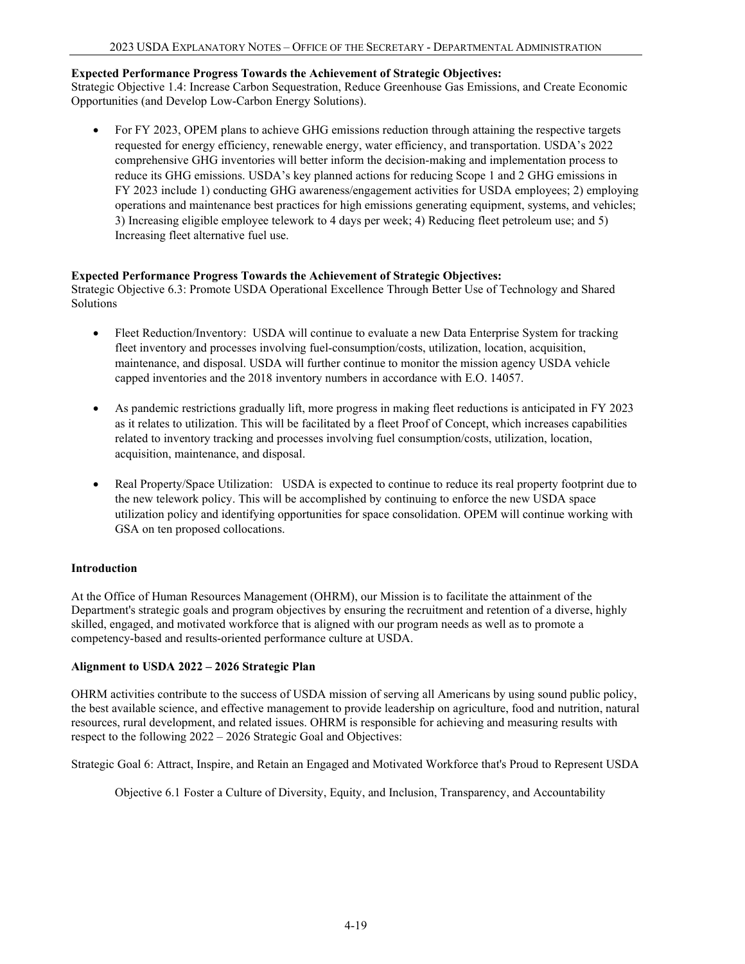#### **Expected Performance Progress Towards the Achievement of Strategic Objectives:**

Strategic Objective 1.4: Increase Carbon Sequestration, Reduce Greenhouse Gas Emissions, and Create Economic Opportunities (and Develop Low-Carbon Energy Solutions).

• For FY 2023, OPEM plans to achieve GHG emissions reduction through attaining the respective targets requested for energy efficiency, renewable energy, water efficiency, and transportation. USDA's 2022 comprehensive GHG inventories will better inform the decision-making and implementation process to reduce its GHG emissions. USDA's key planned actions for reducing Scope 1 and 2 GHG emissions in FY 2023 include 1) conducting GHG awareness/engagement activities for USDA employees; 2) employing operations and maintenance best practices for high emissions generating equipment, systems, and vehicles; 3) Increasing eligible employee telework to 4 days per week; 4) Reducing fleet petroleum use; and 5) Increasing fleet alternative fuel use.

#### **Expected Performance Progress Towards the Achievement of Strategic Objectives:**

Strategic Objective 6.3: Promote USDA Operational Excellence Through Better Use of Technology and Shared Solutions

- Fleet Reduction/Inventory: USDA will continue to evaluate a new Data Enterprise System for tracking fleet inventory and processes involving fuel-consumption/costs, utilization, location, acquisition, maintenance, and disposal. USDA will further continue to monitor the mission agency USDA vehicle capped inventories and the 2018 inventory numbers in accordance with E.O. 14057.
- As pandemic restrictions gradually lift, more progress in making fleet reductions is anticipated in FY 2023 as it relates to utilization. This will be facilitated by a fleet Proof of Concept, which increases capabilities related to inventory tracking and processes involving fuel consumption/costs, utilization, location, acquisition, maintenance, and disposal.
- Real Property/Space Utilization: USDA is expected to continue to reduce its real property footprint due to the new telework policy. This will be accomplished by continuing to enforce the new USDA space utilization policy and identifying opportunities for space consolidation. OPEM will continue working with GSA on ten proposed collocations.

### **Introduction**

At the Office of Human Resources Management (OHRM), our Mission is to facilitate the attainment of the Department's strategic goals and program objectives by ensuring the recruitment and retention of a diverse, highly skilled, engaged, and motivated workforce that is aligned with our program needs as well as to promote a competency-based and results-oriented performance culture at USDA.

### **Alignment to USDA 2022 – 2026 Strategic Plan**

OHRM activities contribute to the success of USDA mission of serving all Americans by using sound public policy, the best available science, and effective management to provide leadership on agriculture, food and nutrition, natural resources, rural development, and related issues. OHRM is responsible for achieving and measuring results with respect to the following 2022 – 2026 Strategic Goal and Objectives:

Strategic Goal 6: Attract, Inspire, and Retain an Engaged and Motivated Workforce that's Proud to Represent USDA

Objective 6.1 Foster a Culture of Diversity, Equity, and Inclusion, Transparency, and Accountability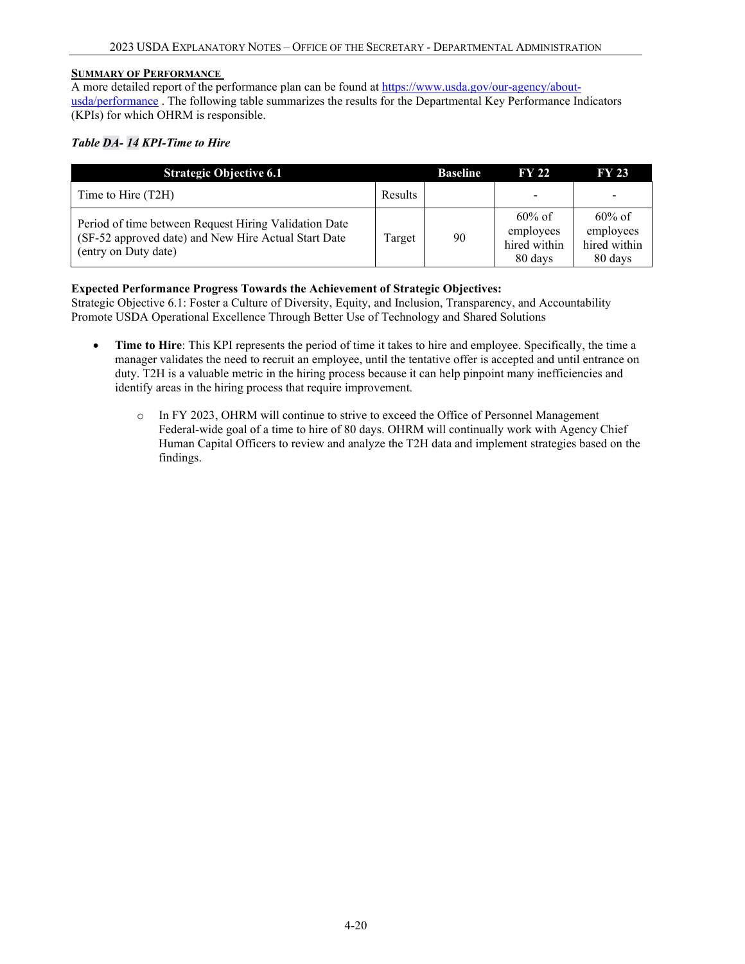#### **SUMMARY OF PERFORMANCE**

A more detailed report of the performance plan can be found at [https://www.usda.gov/our-agency/about](https://www.usda.gov/our-agency/about-usda/performance)[usda/performance](https://www.usda.gov/our-agency/about-usda/performance) . The following table summarizes the results for the Departmental Key Performance Indicators (KPIs) for which OHRM is responsible.

## *Table DA- 14 KPI-Time to Hire*

| <b>Strategic Objective 6.1</b>                                                                                                        |         | <b>Baseline</b> | <b>FY 22</b>                                      | <b>FY 23</b>                                      |
|---------------------------------------------------------------------------------------------------------------------------------------|---------|-----------------|---------------------------------------------------|---------------------------------------------------|
| Time to Hire (T2H)                                                                                                                    | Results |                 |                                                   |                                                   |
| Period of time between Request Hiring Validation Date<br>(SF-52 approved date) and New Hire Actual Start Date<br>(entry on Duty date) | Target  | 90              | $60\%$ of<br>employees<br>hired within<br>80 days | $60\%$ of<br>employees<br>hired within<br>80 days |

### **Expected Performance Progress Towards the Achievement of Strategic Objectives:**

Strategic Objective 6.1: Foster a Culture of Diversity, Equity, and Inclusion, Transparency, and Accountability Promote USDA Operational Excellence Through Better Use of Technology and Shared Solutions

- **Time to Hire**: This KPI represents the period of time it takes to hire and employee. Specifically, the time a manager validates the need to recruit an employee, until the tentative offer is accepted and until entrance on duty. T2H is a valuable metric in the hiring process because it can help pinpoint many inefficiencies and identify areas in the hiring process that require improvement.
	- o In FY 2023, OHRM will continue to strive to exceed the Office of Personnel Management Federal-wide goal of a time to hire of 80 days. OHRM will continually work with Agency Chief Human Capital Officers to review and analyze the T2H data and implement strategies based on the findings.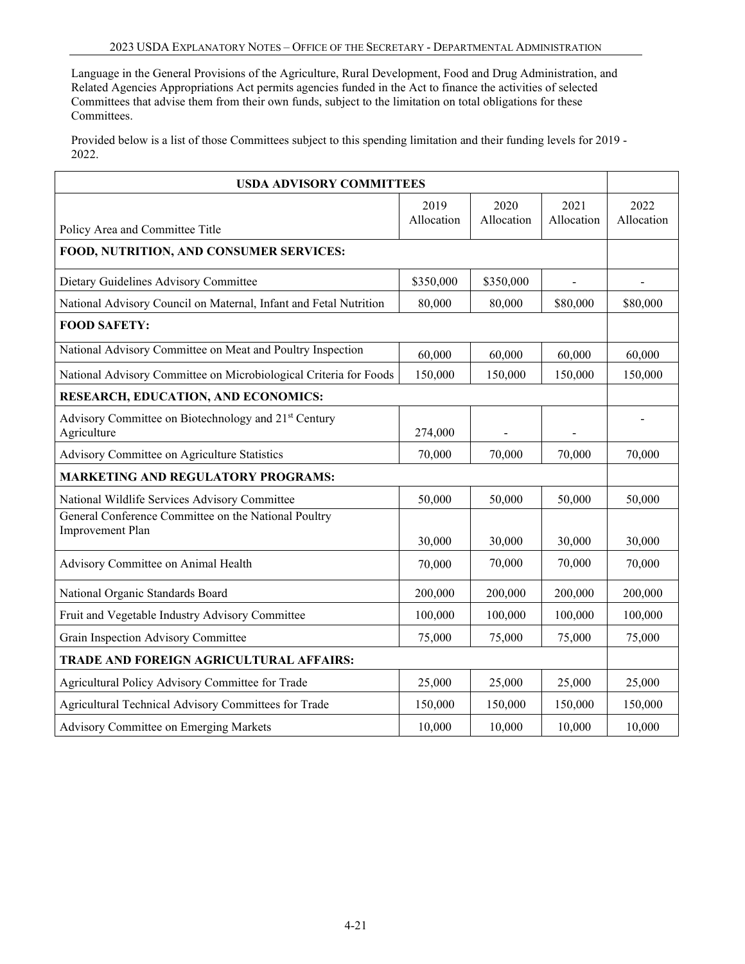Language in the General Provisions of the Agriculture, Rural Development, Food and Drug Administration, and Related Agencies Appropriations Act permits agencies funded in the Act to finance the activities of selected Committees that advise them from their own funds, subject to the limitation on total obligations for these Committees.

Provided below is a list of those Committees subject to this spending limitation and their funding levels for 2019 - 2022.

| <b>USDA ADVISORY COMMITTEES</b>                                                 |                    |                    |                    |                    |  |
|---------------------------------------------------------------------------------|--------------------|--------------------|--------------------|--------------------|--|
| Policy Area and Committee Title                                                 | 2019<br>Allocation | 2020<br>Allocation | 2021<br>Allocation | 2022<br>Allocation |  |
| FOOD, NUTRITION, AND CONSUMER SERVICES:                                         |                    |                    |                    |                    |  |
| Dietary Guidelines Advisory Committee                                           | \$350,000          | \$350,000          |                    |                    |  |
| National Advisory Council on Maternal, Infant and Fetal Nutrition               | 80,000             | 80,000             | \$80,000           | \$80,000           |  |
| <b>FOOD SAFETY:</b>                                                             |                    |                    |                    |                    |  |
| National Advisory Committee on Meat and Poultry Inspection                      | 60,000             | 60,000             | 60,000             | 60,000             |  |
| National Advisory Committee on Microbiological Criteria for Foods               | 150,000            | 150,000            | 150,000            | 150,000            |  |
| RESEARCH, EDUCATION, AND ECONOMICS:                                             |                    |                    |                    |                    |  |
| Advisory Committee on Biotechnology and 21 <sup>st</sup> Century<br>Agriculture | 274,000            |                    |                    |                    |  |
| Advisory Committee on Agriculture Statistics                                    | 70,000             | 70,000             | 70,000             | 70,000             |  |
| <b>MARKETING AND REGULATORY PROGRAMS:</b>                                       |                    |                    |                    |                    |  |
| National Wildlife Services Advisory Committee                                   | 50,000             | 50,000             | 50,000             | 50,000             |  |
| General Conference Committee on the National Poultry<br>Improvement Plan        | 30,000             | 30,000             | 30,000             | 30,000             |  |
| Advisory Committee on Animal Health                                             | 70,000             | 70,000             | 70,000             | 70,000             |  |
| National Organic Standards Board                                                | 200,000            | 200,000            | 200,000            | 200,000            |  |
| Fruit and Vegetable Industry Advisory Committee                                 | 100,000            | 100,000            | 100,000            | 100,000            |  |
| Grain Inspection Advisory Committee                                             | 75,000             | 75,000             | 75,000             | 75,000             |  |
| TRADE AND FOREIGN AGRICULTURAL AFFAIRS:                                         |                    |                    |                    |                    |  |
| Agricultural Policy Advisory Committee for Trade                                | 25,000             | 25,000             | 25,000             | 25,000             |  |
| Agricultural Technical Advisory Committees for Trade                            | 150,000            | 150,000            | 150,000            | 150,000            |  |
| Advisory Committee on Emerging Markets                                          | 10,000             | 10,000             | 10,000             | 10,000             |  |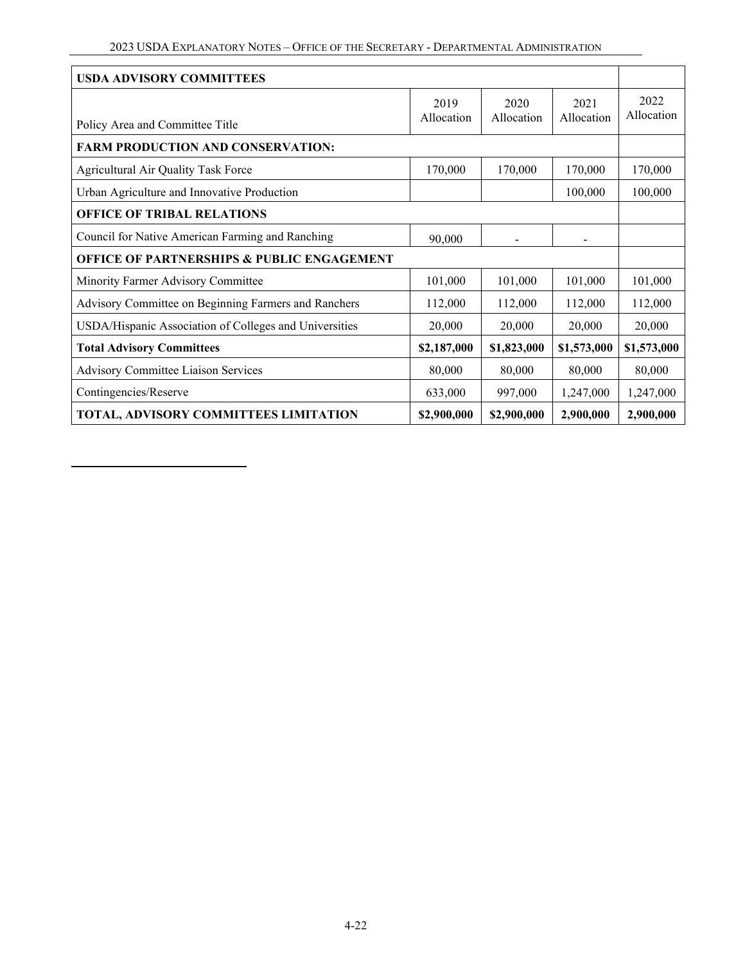| <b>USDA ADVISORY COMMITTEES</b>                        |                    |                    |                    |                    |
|--------------------------------------------------------|--------------------|--------------------|--------------------|--------------------|
| Policy Area and Committee Title                        | 2019<br>Allocation | 2020<br>Allocation | 2021<br>Allocation | 2022<br>Allocation |
| <b>FARM PRODUCTION AND CONSERVATION:</b>               |                    |                    |                    |                    |
|                                                        |                    |                    |                    |                    |
| Agricultural Air Quality Task Force                    | 170,000            | 170,000            | 170,000            | 170,000            |
| Urban Agriculture and Innovative Production            |                    |                    | 100,000            | 100,000            |
| <b>OFFICE OF TRIBAL RELATIONS</b>                      |                    |                    |                    |                    |
| Council for Native American Farming and Ranching       | 90,000             |                    |                    |                    |
| <b>OFFICE OF PARTNERSHIPS &amp; PUBLIC ENGAGEMENT</b>  |                    |                    |                    |                    |
| Minority Farmer Advisory Committee                     | 101,000            | 101,000            | 101,000            | 101,000            |
| Advisory Committee on Beginning Farmers and Ranchers   | 112,000            | 112,000            | 112,000            | 112,000            |
| USDA/Hispanic Association of Colleges and Universities | 20,000             | 20,000             | 20,000             | 20,000             |
| <b>Total Advisory Committees</b>                       | \$2,187,000        | \$1,823,000        | \$1,573,000        | \$1,573,000        |
| Advisory Committee Liaison Services                    | 80,000             | 80,000             | 80,000             | 80,000             |
| Contingencies/Reserve                                  | 633,000            | 997,000            | 1,247,000          | 1,247,000          |
| TOTAL, ADVISORY COMMITTEES LIMITATION                  | \$2,900,000        | \$2,900,000        | 2,900,000          | 2,900,000          |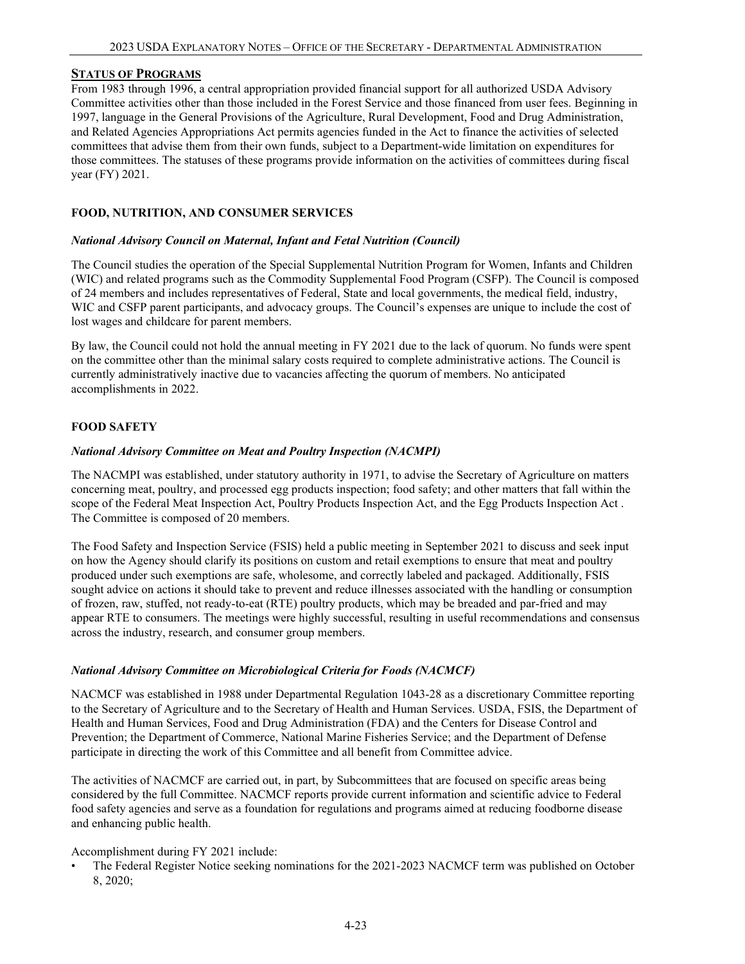#### **STATUS OF PROGRAMS**

From 1983 through 1996, a central appropriation provided financial support for all authorized USDA Advisory Committee activities other than those included in the Forest Service and those financed from user fees. Beginning in 1997, language in the General Provisions of the Agriculture, Rural Development, Food and Drug Administration, and Related Agencies Appropriations Act permits agencies funded in the Act to finance the activities of selected committees that advise them from their own funds, subject to a Department-wide limitation on expenditures for those committees. The statuses of these programs provide information on the activities of committees during fiscal year (FY) 2021.

#### **FOOD, NUTRITION, AND CONSUMER SERVICES**

#### *National Advisory Council on Maternal, Infant and Fetal Nutrition (Council)*

The Council studies the operation of the Special Supplemental Nutrition Program for Women, Infants and Children (WIC) and related programs such as the Commodity Supplemental Food Program (CSFP). The Council is composed of 24 members and includes representatives of Federal, State and local governments, the medical field, industry, WIC and CSFP parent participants, and advocacy groups. The Council's expenses are unique to include the cost of lost wages and childcare for parent members.

By law, the Council could not hold the annual meeting in FY 2021 due to the lack of quorum. No funds were spent on the committee other than the minimal salary costs required to complete administrative actions. The Council is currently administratively inactive due to vacancies affecting the quorum of members. No anticipated accomplishments in 2022.

#### **FOOD SAFETY**

#### *National Advisory Committee on Meat and Poultry Inspection (NACMPI)*

The NACMPI was established, under statutory authority in 1971, to advise the Secretary of Agriculture on matters concerning meat, poultry, and processed egg products inspection; food safety; and other matters that fall within the scope of the Federal Meat Inspection Act, Poultry Products Inspection Act, and the Egg Products Inspection Act . The Committee is composed of 20 members.

The Food Safety and Inspection Service (FSIS) held a public meeting in September 2021 to discuss and seek input on how the Agency should clarify its positions on custom and retail exemptions to ensure that meat and poultry produced under such exemptions are safe, wholesome, and correctly labeled and packaged. Additionally, FSIS sought advice on actions it should take to prevent and reduce illnesses associated with the handling or consumption of frozen, raw, stuffed, not ready-to-eat (RTE) poultry products, which may be breaded and par-fried and may appear RTE to consumers. The meetings were highly successful, resulting in useful recommendations and consensus across the industry, research, and consumer group members.

#### *National Advisory Committee on Microbiological Criteria for Foods (NACMCF)*

NACMCF was established in 1988 under Departmental Regulation 1043-28 as a discretionary Committee reporting to the Secretary of Agriculture and to the Secretary of Health and Human Services. USDA, FSIS, the Department of Health and Human Services, Food and Drug Administration (FDA) and the Centers for Disease Control and Prevention; the Department of Commerce, National Marine Fisheries Service; and the Department of Defense participate in directing the work of this Committee and all benefit from Committee advice.

The activities of NACMCF are carried out, in part, by Subcommittees that are focused on specific areas being considered by the full Committee. NACMCF reports provide current information and scientific advice to Federal food safety agencies and serve as a foundation for regulations and programs aimed at reducing foodborne disease and enhancing public health.

Accomplishment during FY 2021 include:

The Federal Register Notice seeking nominations for the 2021-2023 NACMCF term was published on October 8, 2020;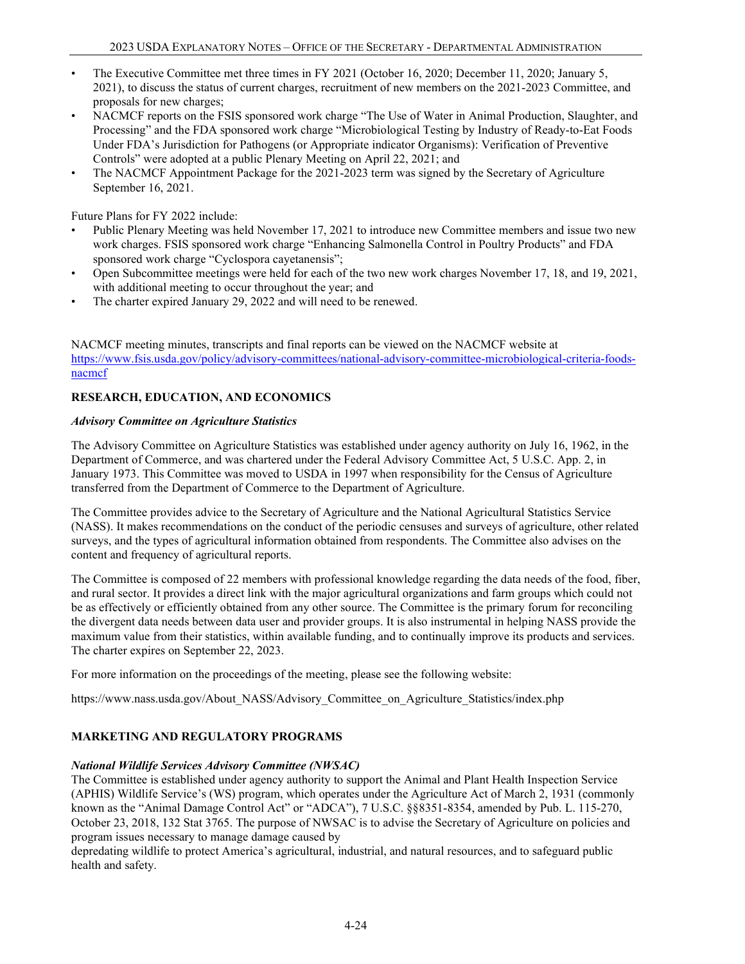- The Executive Committee met three times in FY 2021 (October 16, 2020; December 11, 2020; January 5, 2021), to discuss the status of current charges, recruitment of new members on the 2021-2023 Committee, and proposals for new charges;
- NACMCF reports on the FSIS sponsored work charge "The Use of Water in Animal Production, Slaughter, and Processing" and the FDA sponsored work charge "Microbiological Testing by Industry of Ready-to-Eat Foods Under FDA's Jurisdiction for Pathogens (or Appropriate indicator Organisms): Verification of Preventive Controls" were adopted at a public Plenary Meeting on April 22, 2021; and
- The NACMCF Appointment Package for the 2021-2023 term was signed by the Secretary of Agriculture September 16, 2021.

Future Plans for FY 2022 include:

- Public Plenary Meeting was held November 17, 2021 to introduce new Committee members and issue two new work charges. FSIS sponsored work charge "Enhancing Salmonella Control in Poultry Products" and FDA sponsored work charge "Cyclospora cayetanensis";
- Open Subcommittee meetings were held for each of the two new work charges November 17, 18, and 19, 2021, with additional meeting to occur throughout the year; and
- The charter expired January 29, 2022 and will need to be renewed.

NACMCF meeting minutes, transcripts and final reports can be viewed on the NACMCF website at [https://www.fsis.usda.gov/policy/advisory-committees/national-advisory-committee-microbiological-criteria-foods](https://www.fsis.usda.gov/policy/advisory-committees/national-advisory-committee-microbiological-criteria-foods-nacmcf)[nacmcf](https://www.fsis.usda.gov/policy/advisory-committees/national-advisory-committee-microbiological-criteria-foods-nacmcf) 

# **RESEARCH, EDUCATION, AND ECONOMICS**

#### *Advisory Committee on Agriculture Statistics*

The Advisory Committee on Agriculture Statistics was established under agency authority on July 16, 1962, in the Department of Commerce, and was chartered under the Federal Advisory Committee Act, 5 U.S.C. App. 2, in January 1973. This Committee was moved to USDA in 1997 when responsibility for the Census of Agriculture transferred from the Department of Commerce to the Department of Agriculture.

The Committee provides advice to the Secretary of Agriculture and the National Agricultural Statistics Service (NASS). It makes recommendations on the conduct of the periodic censuses and surveys of agriculture, other related surveys, and the types of agricultural information obtained from respondents. The Committee also advises on the content and frequency of agricultural reports.

The Committee is composed of 22 members with professional knowledge regarding the data needs of the food, fiber, and rural sector. It provides a direct link with the major agricultural organizations and farm groups which could not be as effectively or efficiently obtained from any other source. The Committee is the primary forum for reconciling the divergent data needs between data user and provider groups. It is also instrumental in helping NASS provide the maximum value from their statistics, within available funding, and to continually improve its products and services. The charter expires on September 22, 2023.

For more information on the proceedings of the meeting, please see the following website:

https://www.nass.usda.gov/About\_NASS/Advisory\_Committee\_on\_Agriculture\_Statistics/index.php

# **MARKETING AND REGULATORY PROGRAMS**

### *National Wildlife Services Advisory Committee (NWSAC)*

The Committee is established under agency authority to support the Animal and Plant Health Inspection Service (APHIS) Wildlife Service's (WS) program, which operates under the Agriculture Act of March 2, 1931 (commonly known as the "Animal Damage Control Act" or "ADCA"), 7 U.S.C. §§8351-8354, amended by Pub. L. 115-270, October 23, 2018, 132 Stat 3765. The purpose of NWSAC is to advise the Secretary of Agriculture on policies and program issues necessary to manage damage caused by

depredating wildlife to protect America's agricultural, industrial, and natural resources, and to safeguard public health and safety.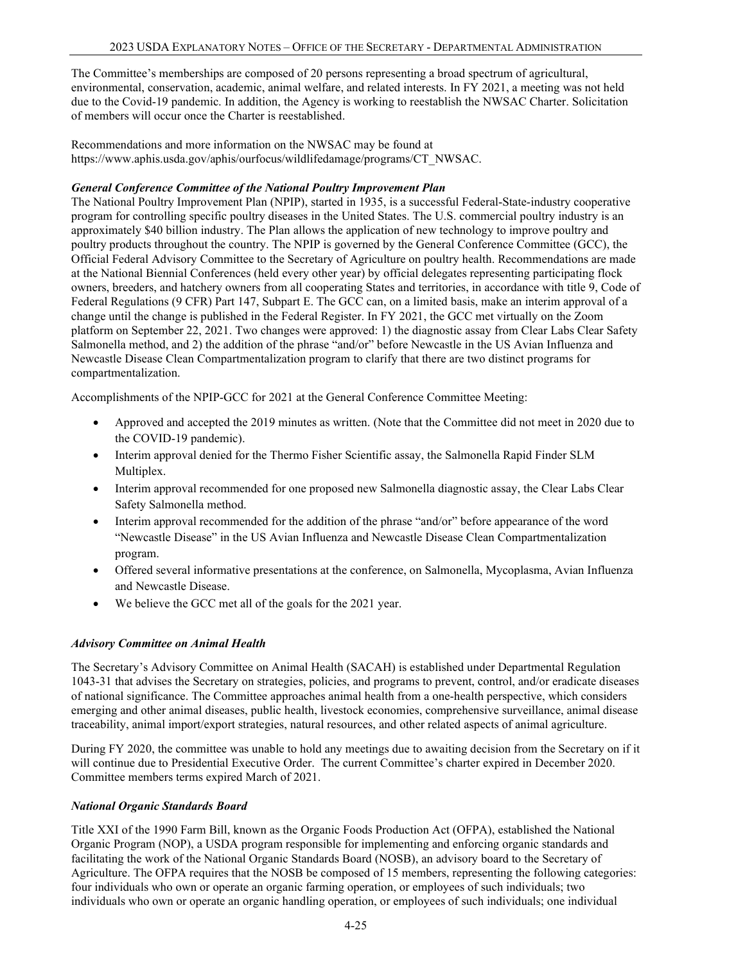The Committee's memberships are composed of 20 persons representing a broad spectrum of agricultural, environmental, conservation, academic, animal welfare, and related interests. In FY 2021, a meeting was not held due to the Covid-19 pandemic. In addition, the Agency is working to reestablish the NWSAC Charter. Solicitation of members will occur once the Charter is reestablished.

Recommendations and more information on the NWSAC may be found at https://www.aphis.usda.gov/aphis/ourfocus/wildlifedamage/programs/CT\_NWSAC.

## *General Conference Committee of the National Poultry Improvement Plan*

The National Poultry Improvement Plan (NPIP), started in 1935, is a successful Federal-State-industry cooperative program for controlling specific poultry diseases in the United States. The U.S. commercial poultry industry is an approximately \$40 billion industry. The Plan allows the application of new technology to improve poultry and poultry products throughout the country. The NPIP is governed by the General Conference Committee (GCC), the Official Federal Advisory Committee to the Secretary of Agriculture on poultry health. Recommendations are made at the National Biennial Conferences (held every other year) by official delegates representing participating flock owners, breeders, and hatchery owners from all cooperating States and territories, in accordance with title 9, Code of Federal Regulations (9 CFR) Part 147, Subpart E. The GCC can, on a limited basis, make an interim approval of a change until the change is published in the Federal Register. In FY 2021, the GCC met virtually on the Zoom platform on September 22, 2021. Two changes were approved: 1) the diagnostic assay from Clear Labs Clear Safety Salmonella method, and 2) the addition of the phrase "and/or" before Newcastle in the US Avian Influenza and Newcastle Disease Clean Compartmentalization program to clarify that there are two distinct programs for compartmentalization.

Accomplishments of the NPIP-GCC for 2021 at the General Conference Committee Meeting:

- Approved and accepted the 2019 minutes as written. (Note that the Committee did not meet in 2020 due to the COVID-19 pandemic).
- Interim approval denied for the Thermo Fisher Scientific assay, the Salmonella Rapid Finder SLM Multiplex.
- Interim approval recommended for one proposed new Salmonella diagnostic assay, the Clear Labs Clear Safety Salmonella method.
- Interim approval recommended for the addition of the phrase "and/or" before appearance of the word "Newcastle Disease" in the US Avian Influenza and Newcastle Disease Clean Compartmentalization program.
- Offered several informative presentations at the conference, on Salmonella, Mycoplasma, Avian Influenza and Newcastle Disease.
- We believe the GCC met all of the goals for the 2021 year.

### *Advisory Committee on Animal Health*

The Secretary's Advisory Committee on Animal Health (SACAH) is established under Departmental Regulation 1043-31 that advises the Secretary on strategies, policies, and programs to prevent, control, and/or eradicate diseases of national significance. The Committee approaches animal health from a one-health perspective, which considers emerging and other animal diseases, public health, livestock economies, comprehensive surveillance, animal disease traceability, animal import/export strategies, natural resources, and other related aspects of animal agriculture.

During FY 2020, the committee was unable to hold any meetings due to awaiting decision from the Secretary on if it will continue due to Presidential Executive Order. The current Committee's charter expired in December 2020. Committee members terms expired March of 2021.

### *National Organic Standards Board*

Title XXI of the 1990 Farm Bill, known as the Organic Foods Production Act (OFPA), established the National Organic Program (NOP), a USDA program responsible for implementing and enforcing organic standards and facilitating the work of the National Organic Standards Board (NOSB), an advisory board to the Secretary of Agriculture. The OFPA requires that the NOSB be composed of 15 members, representing the following categories: four individuals who own or operate an organic farming operation, or employees of such individuals; two individuals who own or operate an organic handling operation, or employees of such individuals; one individual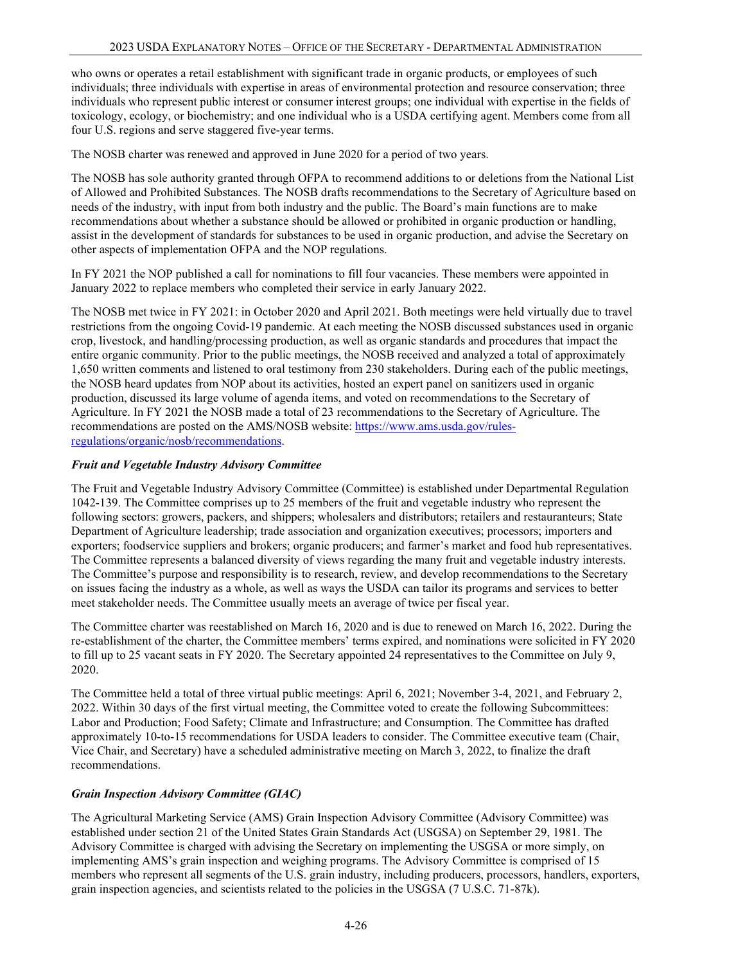who owns or operates a retail establishment with significant trade in organic products, or employees of such individuals; three individuals with expertise in areas of environmental protection and resource conservation; three individuals who represent public interest or consumer interest groups; one individual with expertise in the fields of toxicology, ecology, or biochemistry; and one individual who is a USDA certifying agent. Members come from all four U.S. regions and serve staggered five-year terms.

The NOSB charter was renewed and approved in June 2020 for a period of two years.

The NOSB has sole authority granted through OFPA to recommend additions to or deletions from the National List of Allowed and Prohibited Substances. The NOSB drafts recommendations to the Secretary of Agriculture based on needs of the industry, with input from both industry and the public. The Board's main functions are to make recommendations about whether a substance should be allowed or prohibited in organic production or handling, assist in the development of standards for substances to be used in organic production, and advise the Secretary on other aspects of implementation OFPA and the NOP regulations.

In FY 2021 the NOP published a call for nominations to fill four vacancies. These members were appointed in January 2022 to replace members who completed their service in early January 2022.

The NOSB met twice in FY 2021: in October 2020 and April 2021. Both meetings were held virtually due to travel restrictions from the ongoing Covid-19 pandemic. At each meeting the NOSB discussed substances used in organic crop, livestock, and handling/processing production, as well as organic standards and procedures that impact the entire organic community. Prior to the public meetings, the NOSB received and analyzed a total of approximately 1,650 written comments and listened to oral testimony from 230 stakeholders. During each of the public meetings, the NOSB heard updates from NOP about its activities, hosted an expert panel on sanitizers used in organic production, discussed its large volume of agenda items, and voted on recommendations to the Secretary of Agriculture. In FY 2021 the NOSB made a total of 23 recommendations to the Secretary of Agriculture. The recommendations are posted on the AMS/NOSB website: [https://www.ams.usda.gov/rules](https://www.ams.usda.gov/rules-regulations/organic/nosb/recommendations)[regulations/organic/nosb/recommendations.](https://www.ams.usda.gov/rules-regulations/organic/nosb/recommendations)

#### *Fruit and Vegetable Industry Advisory Committee*

The Fruit and Vegetable Industry Advisory Committee (Committee) is established under Departmental Regulation 1042-139. The Committee comprises up to 25 members of the fruit and vegetable industry who represent the following sectors: growers, packers, and shippers; wholesalers and distributors; retailers and restauranteurs; State Department of Agriculture leadership; trade association and organization executives; processors; importers and exporters; foodservice suppliers and brokers; organic producers; and farmer's market and food hub representatives. The Committee represents a balanced diversity of views regarding the many fruit and vegetable industry interests. The Committee's purpose and responsibility is to research, review, and develop recommendations to the Secretary on issues facing the industry as a whole, as well as ways the USDA can tailor its programs and services to better meet stakeholder needs. The Committee usually meets an average of twice per fiscal year.

The Committee charter was reestablished on March 16, 2020 and is due to renewed on March 16, 2022. During the re-establishment of the charter, the Committee members' terms expired, and nominations were solicited in FY 2020 to fill up to 25 vacant seats in FY 2020. The Secretary appointed 24 representatives to the Committee on July 9, 2020.

The Committee held a total of three virtual public meetings: April 6, 2021; November 3-4, 2021, and February 2, 2022. Within 30 days of the first virtual meeting, the Committee voted to create the following Subcommittees: Labor and Production; Food Safety; Climate and Infrastructure; and Consumption. The Committee has drafted approximately 10-to-15 recommendations for USDA leaders to consider. The Committee executive team (Chair, Vice Chair, and Secretary) have a scheduled administrative meeting on March 3, 2022, to finalize the draft recommendations.

### *Grain Inspection Advisory Committee (GIAC)*

The Agricultural Marketing Service (AMS) Grain Inspection Advisory Committee (Advisory Committee) was established under section 21 of the United States Grain Standards Act (USGSA) on September 29, 1981. The Advisory Committee is charged with advising the Secretary on implementing the USGSA or more simply, on implementing AMS's grain inspection and weighing programs. The Advisory Committee is comprised of 15 members who represent all segments of the U.S. grain industry, including producers, processors, handlers, exporters, grain inspection agencies, and scientists related to the policies in the USGSA (7 U.S.C. 71-87k).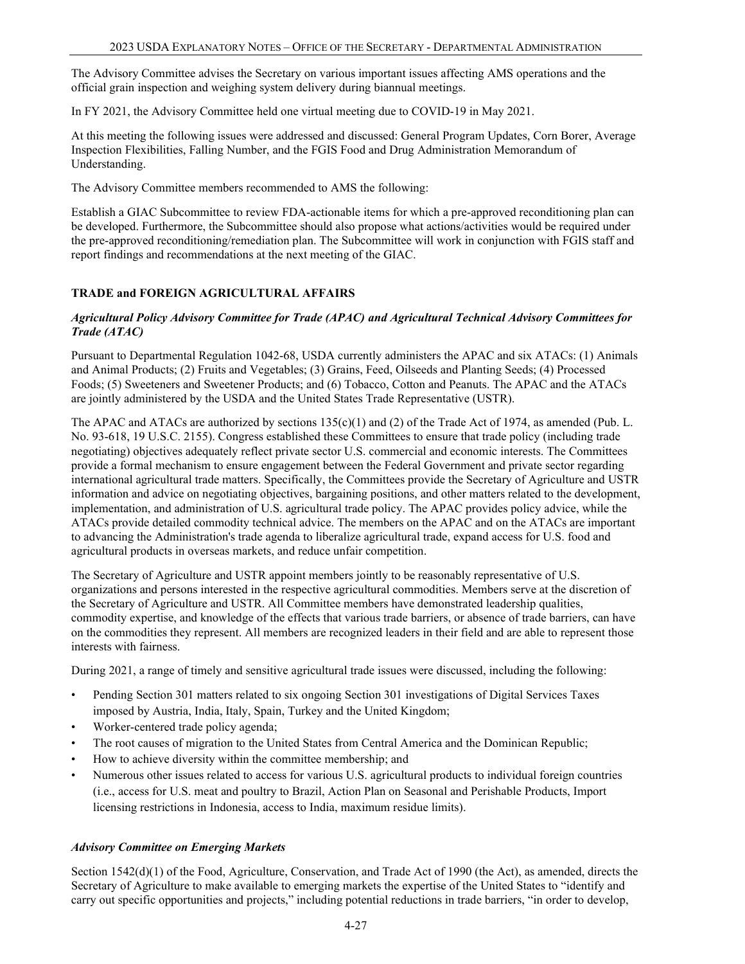The Advisory Committee advises the Secretary on various important issues affecting AMS operations and the official grain inspection and weighing system delivery during biannual meetings.

In FY 2021, the Advisory Committee held one virtual meeting due to COVID-19 in May 2021.

At this meeting the following issues were addressed and discussed: General Program Updates, Corn Borer, Average Inspection Flexibilities, Falling Number, and the FGIS Food and Drug Administration Memorandum of Understanding.

The Advisory Committee members recommended to AMS the following:

Establish a GIAC Subcommittee to review FDA-actionable items for which a pre-approved reconditioning plan can be developed. Furthermore, the Subcommittee should also propose what actions/activities would be required under the pre-approved reconditioning/remediation plan. The Subcommittee will work in conjunction with FGIS staff and report findings and recommendations at the next meeting of the GIAC.

## **TRADE and FOREIGN AGRICULTURAL AFFAIRS**

## *Agricultural Policy Advisory Committee for Trade (APAC) and Agricultural Technical Advisory Committees for Trade (ATAC)*

Pursuant to Departmental Regulation 1042-68, USDA currently administers the APAC and six ATACs: (1) Animals and Animal Products; (2) Fruits and Vegetables; (3) Grains, Feed, Oilseeds and Planting Seeds; (4) Processed Foods; (5) Sweeteners and Sweetener Products; and (6) Tobacco, Cotton and Peanuts. The APAC and the ATACs are jointly administered by the USDA and the United States Trade Representative (USTR).

The APAC and ATACs are authorized by sections 135(c)(1) and (2) of the Trade Act of 1974, as amended (Pub. L. No. 93-618, 19 U.S.C. 2155). Congress established these Committees to ensure that trade policy (including trade negotiating) objectives adequately reflect private sector U.S. commercial and economic interests. The Committees provide a formal mechanism to ensure engagement between the Federal Government and private sector regarding international agricultural trade matters. Specifically, the Committees provide the Secretary of Agriculture and USTR information and advice on negotiating objectives, bargaining positions, and other matters related to the development, implementation, and administration of U.S. agricultural trade policy. The APAC provides policy advice, while the ATACs provide detailed commodity technical advice. The members on the APAC and on the ATACs are important to advancing the Administration's trade agenda to liberalize agricultural trade, expand access for U.S. food and agricultural products in overseas markets, and reduce unfair competition.

The Secretary of Agriculture and USTR appoint members jointly to be reasonably representative of U.S. organizations and persons interested in the respective agricultural commodities. Members serve at the discretion of the Secretary of Agriculture and USTR. All Committee members have demonstrated leadership qualities, commodity expertise, and knowledge of the effects that various trade barriers, or absence of trade barriers, can have on the commodities they represent. All members are recognized leaders in their field and are able to represent those interests with fairness.

During 2021, a range of timely and sensitive agricultural trade issues were discussed, including the following:

- Pending Section 301 matters related to six ongoing Section 301 investigations of Digital Services Taxes imposed by Austria, India, Italy, Spain, Turkey and the United Kingdom;
- Worker-centered trade policy agenda;
- The root causes of migration to the United States from Central America and the Dominican Republic;
- How to achieve diversity within the committee membership; and
- Numerous other issues related to access for various U.S. agricultural products to individual foreign countries (i.e., access for U.S. meat and poultry to Brazil, Action Plan on Seasonal and Perishable Products, Import licensing restrictions in Indonesia, access to India, maximum residue limits).

### *Advisory Committee on Emerging Markets*

Section 1542(d)(1) of the Food, Agriculture, Conservation, and Trade Act of 1990 (the Act), as amended, directs the Secretary of Agriculture to make available to emerging markets the expertise of the United States to "identify and carry out specific opportunities and projects," including potential reductions in trade barriers, "in order to develop,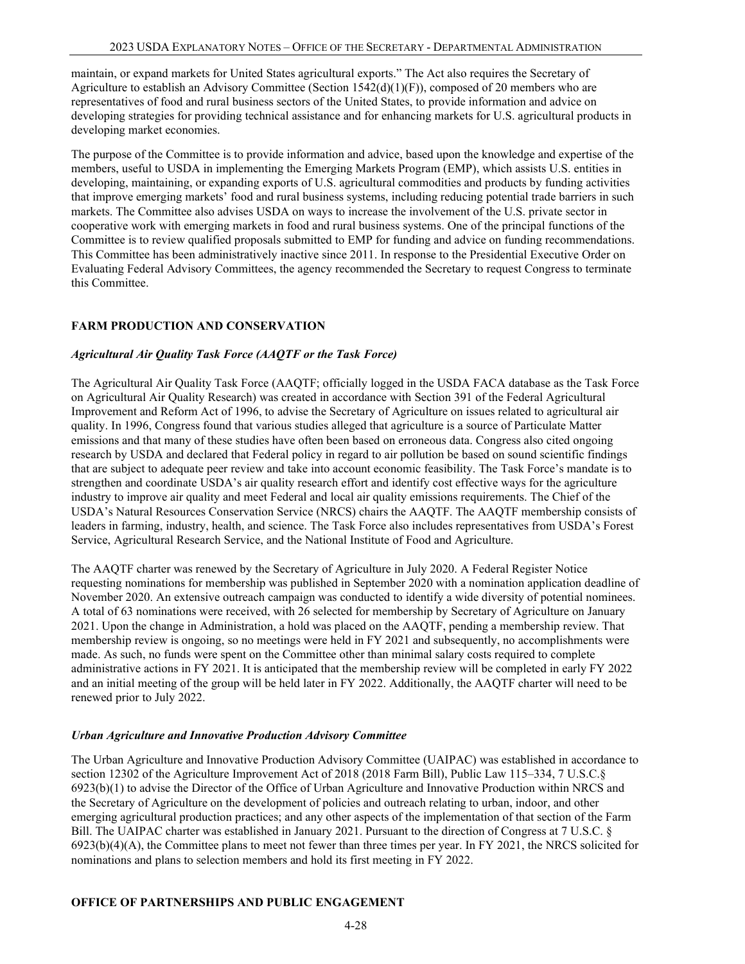maintain, or expand markets for United States agricultural exports." The Act also requires the Secretary of Agriculture to establish an Advisory Committee (Section 1542(d)(1)(F)), composed of 20 members who are representatives of food and rural business sectors of the United States, to provide information and advice on developing strategies for providing technical assistance and for enhancing markets for U.S. agricultural products in developing market economies.

The purpose of the Committee is to provide information and advice, based upon the knowledge and expertise of the members, useful to USDA in implementing the Emerging Markets Program (EMP), which assists U.S. entities in developing, maintaining, or expanding exports of U.S. agricultural commodities and products by funding activities that improve emerging markets' food and rural business systems, including reducing potential trade barriers in such markets. The Committee also advises USDA on ways to increase the involvement of the U.S. private sector in cooperative work with emerging markets in food and rural business systems. One of the principal functions of the Committee is to review qualified proposals submitted to EMP for funding and advice on funding recommendations. This Committee has been administratively inactive since 2011. In response to the Presidential Executive Order on Evaluating Federal Advisory Committees, the agency recommended the Secretary to request Congress to terminate this Committee.

# **FARM PRODUCTION AND CONSERVATION**

## *Agricultural Air Quality Task Force (AAQTF or the Task Force)*

The Agricultural Air Quality Task Force (AAQTF; officially logged in the USDA FACA database as the Task Force on Agricultural Air Quality Research) was created in accordance with Section 391 of the Federal Agricultural Improvement and Reform Act of 1996, to advise the Secretary of Agriculture on issues related to agricultural air quality. In 1996, Congress found that various studies alleged that agriculture is a source of Particulate Matter emissions and that many of these studies have often been based on erroneous data. Congress also cited ongoing research by USDA and declared that Federal policy in regard to air pollution be based on sound scientific findings that are subject to adequate peer review and take into account economic feasibility. The Task Force's mandate is to strengthen and coordinate USDA's air quality research effort and identify cost effective ways for the agriculture industry to improve air quality and meet Federal and local air quality emissions requirements. The Chief of the USDA's Natural Resources Conservation Service (NRCS) chairs the AAQTF. The AAQTF membership consists of leaders in farming, industry, health, and science. The Task Force also includes representatives from USDA's Forest Service, Agricultural Research Service, and the National Institute of Food and Agriculture.

The AAQTF charter was renewed by the Secretary of Agriculture in July 2020. A Federal Register Notice requesting nominations for membership was published in September 2020 with a nomination application deadline of November 2020. An extensive outreach campaign was conducted to identify a wide diversity of potential nominees. A total of 63 nominations were received, with 26 selected for membership by Secretary of Agriculture on January 2021. Upon the change in Administration, a hold was placed on the AAQTF, pending a membership review. That membership review is ongoing, so no meetings were held in FY 2021 and subsequently, no accomplishments were made. As such, no funds were spent on the Committee other than minimal salary costs required to complete administrative actions in FY 2021. It is anticipated that the membership review will be completed in early FY 2022 and an initial meeting of the group will be held later in FY 2022. Additionally, the AAQTF charter will need to be renewed prior to July 2022.

### *Urban Agriculture and Innovative Production Advisory Committee*

The Urban Agriculture and Innovative Production Advisory Committee (UAIPAC) was established in accordance to section 12302 of the Agriculture Improvement Act of 2018 (2018 Farm Bill), Public Law 115–334, 7 U.S.C.§ 6923(b)(1) to advise the Director of the Office of Urban Agriculture and Innovative Production within NRCS and the Secretary of Agriculture on the development of policies and outreach relating to urban, indoor, and other emerging agricultural production practices; and any other aspects of the implementation of that section of the Farm Bill. The UAIPAC charter was established in January 2021. Pursuant to the direction of Congress at 7 U.S.C. §  $6923(b)(4)(A)$ , the Committee plans to meet not fewer than three times per year. In FY 2021, the NRCS solicited for nominations and plans to selection members and hold its first meeting in FY 2022.

### **OFFICE OF PARTNERSHIPS AND PUBLIC ENGAGEMENT**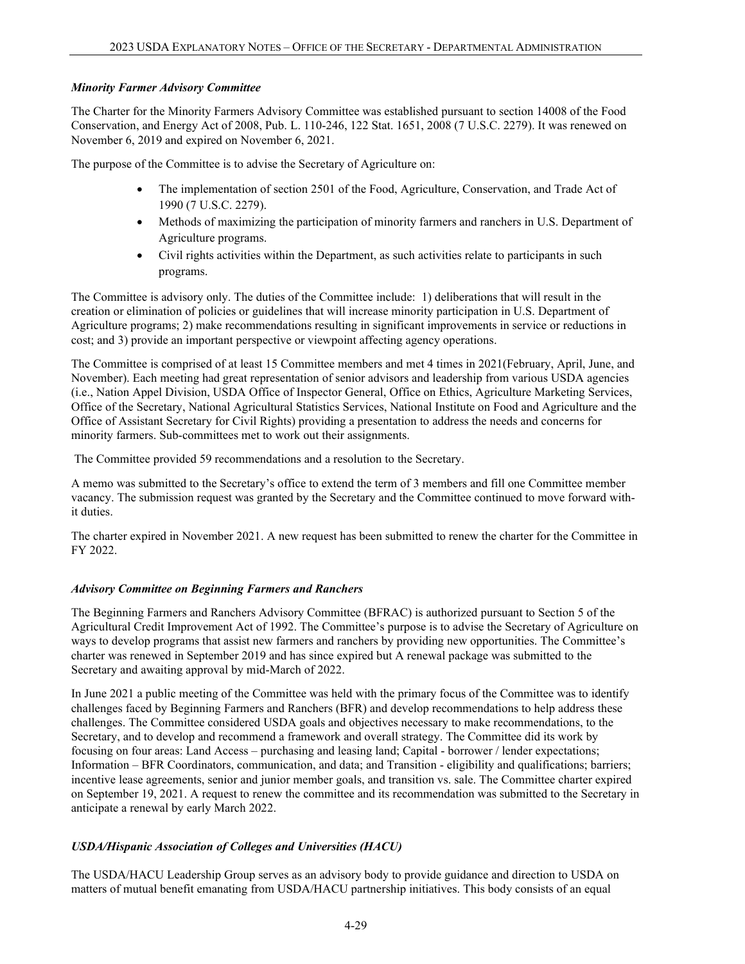## *Minority Farmer Advisory Committee*

The Charter for the Minority Farmers Advisory Committee was established pursuant to section 14008 of the Food Conservation, and Energy Act of 2008, Pub. L. 110-246, 122 Stat. 1651, 2008 (7 U.S.C. 2279). It was renewed on November 6, 2019 and expired on November 6, 2021.

The purpose of the Committee is to advise the Secretary of Agriculture on:

- The implementation of section 2501 of the Food, Agriculture, Conservation, and Trade Act of 1990 (7 U.S.C. 2279).
- Methods of maximizing the participation of minority farmers and ranchers in U.S. Department of Agriculture programs.
- Civil rights activities within the Department, as such activities relate to participants in such programs.

The Committee is advisory only. The duties of the Committee include: 1) deliberations that will result in the creation or elimination of policies or guidelines that will increase minority participation in U.S. Department of Agriculture programs; 2) make recommendations resulting in significant improvements in service or reductions in cost; and 3) provide an important perspective or viewpoint affecting agency operations.

The Committee is comprised of at least 15 Committee members and met 4 times in 2021(February, April, June, and November). Each meeting had great representation of senior advisors and leadership from various USDA agencies (i.e., Nation Appel Division, USDA Office of Inspector General, Office on Ethics, Agriculture Marketing Services, Office of the Secretary, National Agricultural Statistics Services, National Institute on Food and Agriculture and the Office of Assistant Secretary for Civil Rights) providing a presentation to address the needs and concerns for minority farmers. Sub-committees met to work out their assignments.

The Committee provided 59 recommendations and a resolution to the Secretary.

A memo was submitted to the Secretary's office to extend the term of 3 members and fill one Committee member vacancy. The submission request was granted by the Secretary and the Committee continued to move forward withit duties.

The charter expired in November 2021. A new request has been submitted to renew the charter for the Committee in FY 2022.

# *Advisory Committee on Beginning Farmers and Ranchers*

The Beginning Farmers and Ranchers Advisory Committee (BFRAC) is authorized pursuant to Section 5 of the Agricultural Credit Improvement Act of 1992. The Committee's purpose is to advise the Secretary of Agriculture on ways to develop programs that assist new farmers and ranchers by providing new opportunities. The Committee's charter was renewed in September 2019 and has since expired but A renewal package was submitted to the Secretary and awaiting approval by mid-March of 2022.

In June 2021 a public meeting of the Committee was held with the primary focus of the Committee was to identify challenges faced by Beginning Farmers and Ranchers (BFR) and develop recommendations to help address these challenges. The Committee considered USDA goals and objectives necessary to make recommendations, to the Secretary, and to develop and recommend a framework and overall strategy. The Committee did its work by focusing on four areas: Land Access – purchasing and leasing land; Capital - borrower / lender expectations; Information – BFR Coordinators, communication, and data; and Transition - eligibility and qualifications; barriers; incentive lease agreements, senior and junior member goals, and transition vs. sale. The Committee charter expired on September 19, 2021. A request to renew the committee and its recommendation was submitted to the Secretary in anticipate a renewal by early March 2022.

# *USDA/Hispanic Association of Colleges and Universities (HACU)*

The USDA/HACU Leadership Group serves as an advisory body to provide guidance and direction to USDA on matters of mutual benefit emanating from USDA/HACU partnership initiatives. This body consists of an equal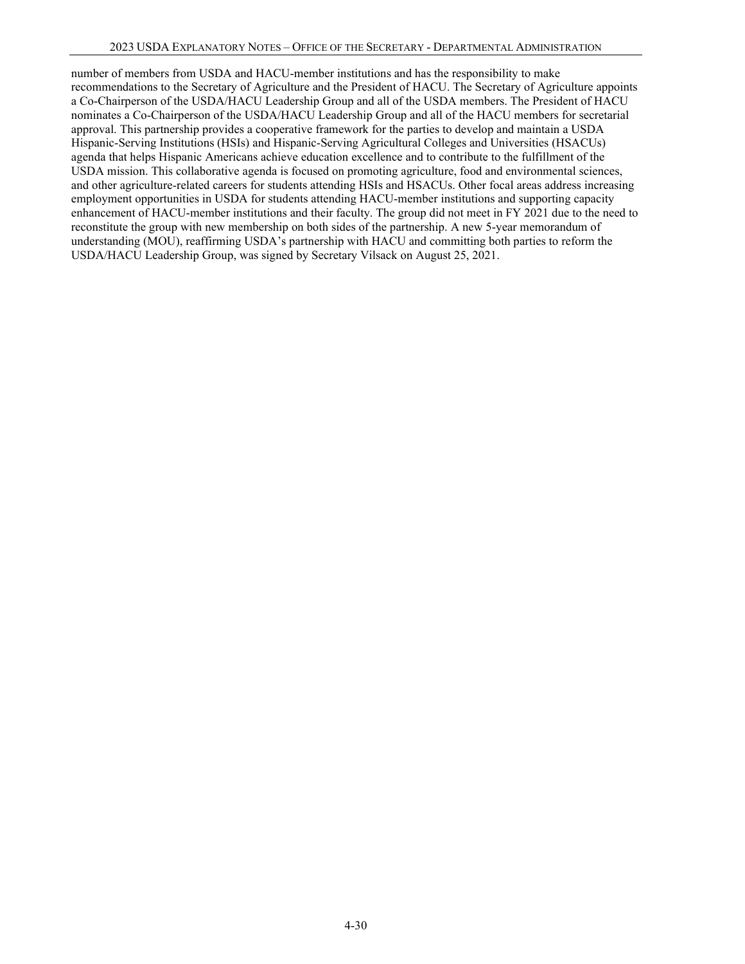number of members from USDA and HACU-member institutions and has the responsibility to make recommendations to the Secretary of Agriculture and the President of HACU. The Secretary of Agriculture appoints a Co-Chairperson of the USDA/HACU Leadership Group and all of the USDA members. The President of HACU nominates a Co-Chairperson of the USDA/HACU Leadership Group and all of the HACU members for secretarial approval. This partnership provides a cooperative framework for the parties to develop and maintain a USDA Hispanic-Serving Institutions (HSIs) and Hispanic-Serving Agricultural Colleges and Universities (HSACUs) agenda that helps Hispanic Americans achieve education excellence and to contribute to the fulfillment of the USDA mission. This collaborative agenda is focused on promoting agriculture, food and environmental sciences, and other agriculture-related careers for students attending HSIs and HSACUs. Other focal areas address increasing employment opportunities in USDA for students attending HACU-member institutions and supporting capacity enhancement of HACU-member institutions and their faculty. The group did not meet in FY 2021 due to the need to reconstitute the group with new membership on both sides of the partnership. A new 5-year memorandum of understanding (MOU), reaffirming USDA's partnership with HACU and committing both parties to reform the USDA/HACU Leadership Group, was signed by Secretary Vilsack on August 25, 2021.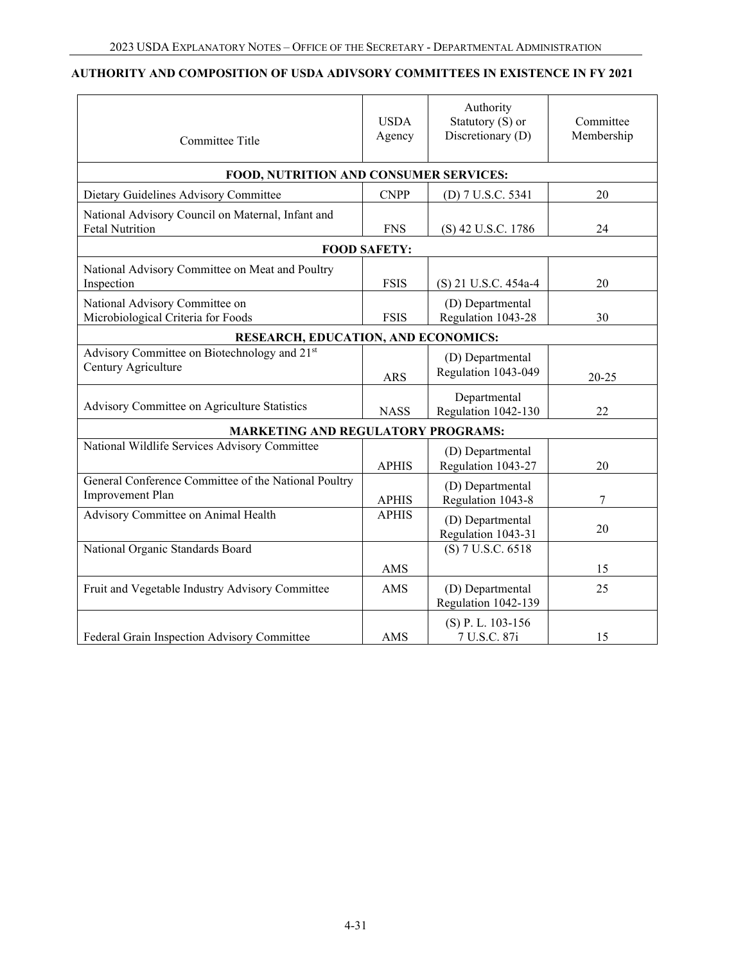#### **AUTHORITY AND COMPOSITION OF USDA ADIVSORY COMMITTEES IN EXISTENCE IN FY 2021**

| Committee Title                                                             | <b>USDA</b><br>Agency | Authority<br>Statutory (S) or<br>Discretionary (D) | Committee<br>Membership |
|-----------------------------------------------------------------------------|-----------------------|----------------------------------------------------|-------------------------|
| FOOD, NUTRITION AND CONSUMER SERVICES:                                      |                       |                                                    |                         |
| Dietary Guidelines Advisory Committee                                       | <b>CNPP</b>           | (D) 7 U.S.C. 5341                                  | 20                      |
| National Advisory Council on Maternal, Infant and<br><b>Fetal Nutrition</b> | <b>FNS</b>            | (S) 42 U.S.C. 1786                                 | 24                      |
|                                                                             | <b>FOOD SAFETY:</b>   |                                                    |                         |
| National Advisory Committee on Meat and Poultry<br>Inspection               | <b>FSIS</b>           | (S) 21 U.S.C. 454a-4                               | 20                      |
| National Advisory Committee on<br>Microbiological Criteria for Foods        | <b>FSIS</b>           | (D) Departmental<br>Regulation 1043-28             | 30                      |
| RESEARCH, EDUCATION, AND ECONOMICS:                                         |                       |                                                    |                         |
| Advisory Committee on Biotechnology and 21st<br>Century Agriculture         | <b>ARS</b>            | (D) Departmental<br>Regulation 1043-049            | $20 - 25$               |
| Advisory Committee on Agriculture Statistics                                | <b>NASS</b>           | Departmental<br>Regulation 1042-130                | 22                      |
| <b>MARKETING AND REGULATORY PROGRAMS:</b>                                   |                       |                                                    |                         |
| National Wildlife Services Advisory Committee                               | <b>APHIS</b>          | (D) Departmental<br>Regulation 1043-27             | 20                      |
| General Conference Committee of the National Poultry<br>Improvement Plan    | <b>APHIS</b>          | (D) Departmental<br>Regulation 1043-8              | 7                       |
| Advisory Committee on Animal Health                                         | <b>APHIS</b>          | (D) Departmental<br>Regulation 1043-31             | 20                      |
| National Organic Standards Board                                            |                       | $(S)$ 7 U.S.C. 6518                                |                         |
|                                                                             | AMS                   |                                                    | 15                      |
| Fruit and Vegetable Industry Advisory Committee                             | AMS                   | (D) Departmental<br>Regulation 1042-139            | 25                      |
| Federal Grain Inspection Advisory Committee                                 | AMS                   | (S) P.L. 103-156<br>7 U.S.C. 87i                   | 15                      |